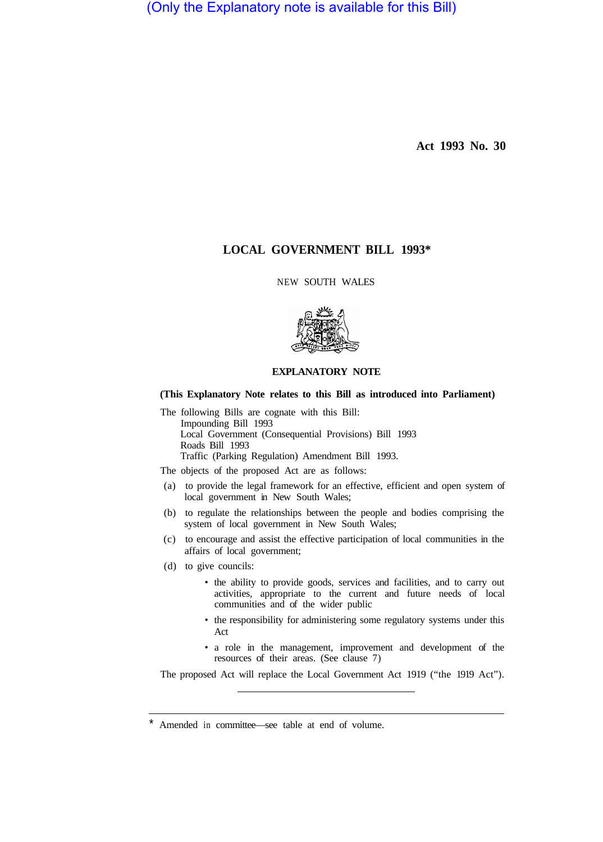(Only the Explanatory note is available for this Bill)

**Act 1993 No. 30** 

# **LOCAL GOVERNMENT BILL 1993\***

NEW SOUTH WALES



# **EXPLANATORY NOTE**

## **(This Explanatory Note relates to this Bill as introduced into Parliament)**

The following Bills are cognate with this Bill: Impounding Bill 1993 Local Government (Consequential Provisions) Bill 1993 Roads Bill 1993 Traffic (Parking Regulation) Amendment Bill 1993.

The objects of the proposed Act are as follows:

- (a) to provide the legal framework for an effective, efficient and open system of local government in New South Wales;
- (b) to regulate the relationships between the people and bodies comprising the system of local government in New South Wales;
- (c) to encourage and assist the effective participation of local communities in the affairs of local government;
- (d) to give councils:
	- the ability to provide goods, services and facilities, and to carry out activities, appropriate to the current and future needs of local communities and of the wider public
	- the responsibility for administering some regulatory systems under this Act
	- a role in the management, improvement and development of the resources of their areas. (See clause 7)

The proposed Act will replace the Local Government Act 1919 ("the 1919 Act").

Amended in committee—see table at end of volume.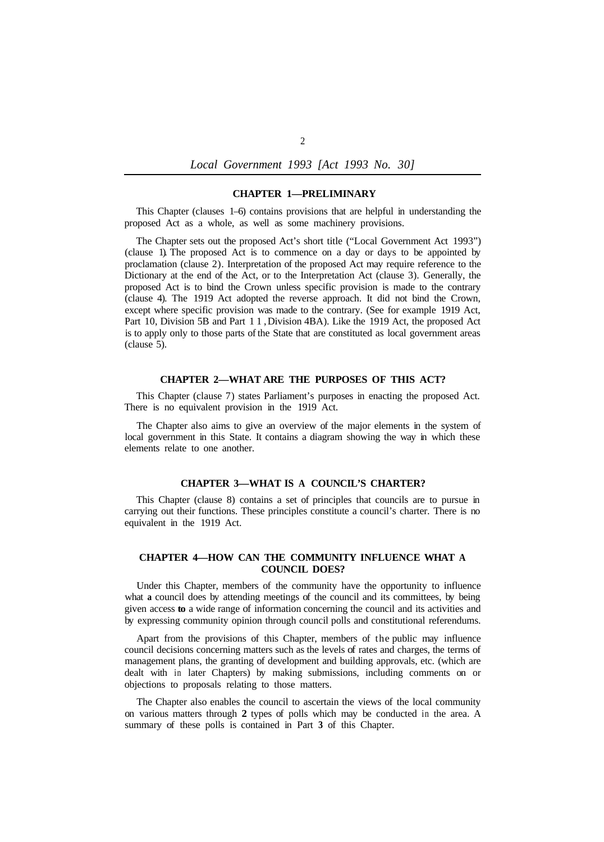## **CHAPTER 1—PRELIMINARY**

This Chapter (clauses 1–6) contains provisions that are helpful in understanding the proposed Act as a whole, as well as some machinery provisions.

The Chapter sets out the proposed Act's short title ("Local Government Act 1993") (clause 1). The proposed Act is to commence on a day or days to be appointed by proclamation (clause 2). Interpretation of the proposed Act may require reference to the Dictionary at the end of the Act, or to the Interpretation Act (clause 3). Generally, the proposed Act is to bind the Crown unless specific provision is made to the contrary (clause 4). The 1919 Act adopted the reverse approach. It did not bind the Crown, except where specific provision was made to the contrary. (See for example 1919 Act, Part 10, Division 5B and Part 11, Division 4BA). Like the 1919 Act, the proposed Act is to apply only to those parts of the State that are constituted as local government areas (clause 5).

## **CHAPTER 2—WHAT ARE THE PURPOSES OF THIS ACT?**

This Chapter (clause 7) states Parliament's purposes in enacting the proposed Act. There is no equivalent provision in the 1919 Act.

The Chapter also aims to give an overview of the major elements in the system of local government in this State. It contains a diagram showing the way in which these elements relate to one another.

# **CHAPTER 3—WHAT IS A COUNCIL'S CHARTER?**

This Chapter (clause 8) contains a set of principles that councils are to pursue in carrying out their functions. These principles constitute a council's charter. There is no equivalent in the 1919 Act.

## **CHAPTER 4—HOW CAN THE COMMUNITY INFLUENCE WHAT A COUNCIL DOES?**

Under this Chapter, members of the community have the opportunity to influence what **a** council does by attending meetings of the council and its committees, by being given access **to** a wide range of information concerning the council and its activities and by expressing community opinion through council polls and constitutional referendums.

Apart from the provisions of this Chapter, members of the public may influence council decisions concerning matters such as the levels of rates and charges, the terms of management plans, the granting of development and building approvals, etc. (which are dealt with in later Chapters) by making submissions, including comments on or objections to proposals relating to those matters.

The Chapter also enables the council to ascertain the views of the local community on various matters through **2** types of polls which may be conducted in the area. A summary of these polls is contained in Part **3** of this Chapter.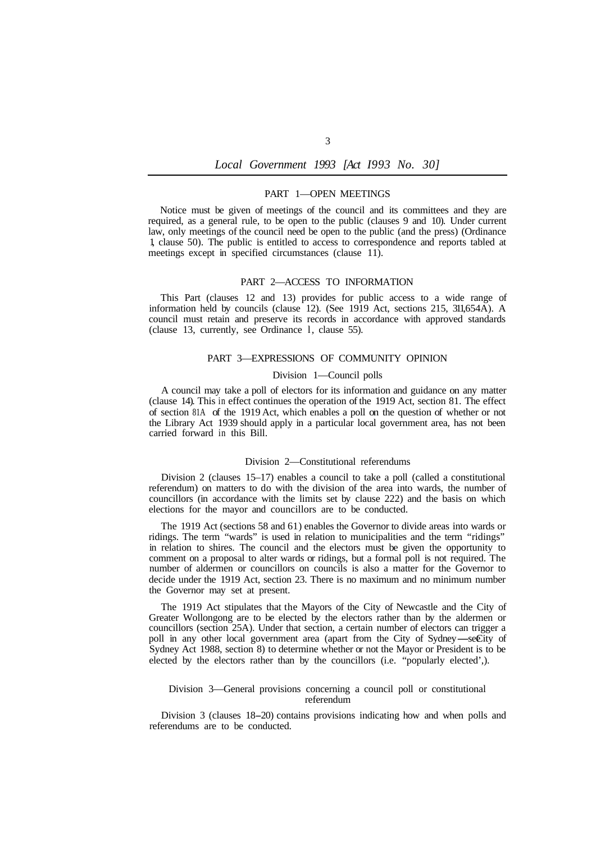## PART 1—OPEN MEETINGS

Notice must be given of meetings of the council and its committees and they are required, as a general rule, to be open to the public (clauses 9 and 10). Under current law, only meetings of the council need be open to the public (and the press) (Ordinance 1, clause 50). The public is entitled to access to correspondence and reports tabled at meetings except in specified circumstances (clause 11).

### PART 2—ACCESS TO INFORMATION

This Part (clauses 12 and 13) provides for public access to a wide range of information held by councils (clause 12). (See 1919 Act, sections 215, 311, 654A). A council must retain and preserve its records in accordance with approved standards (clause 13, currently, see Ordinance l, clause 55).

## PART 3—EXPRESSIONS OF COMMUNITY OPINION

#### Division 1—Council polls

A council may take a poll of electors for its information and guidance on any matter (clause 14). This in effect continues the operation of the 1919 Act, section 81. The effect of section 81A of the 1919 Act, which enables a poll on the question of whether or not the Library Act 1939 should apply in a particular local government area, has not been carried forward in this Bill.

### Division 2—Constitutional referendums

Division 2 (clauses 15–17) enables a council to take a poll (called a constitutional referendum) on matters to do with the division of the area into wards, the number of councillors (in accordance with the limits set by clause 222) and the basis on which elections for the mayor and councillors are to be conducted.

The 1919 Act (sections 58 and 61) enables the Governor to divide areas into wards or ridings. The term "wards" is used in relation to municipalities and the term "ridings" in relation to shires. The council and the electors must be given the opportunity to comment on a proposal to alter wards or ridings, but a formal poll is not required. The number of aldermen or councillors on councils is also a matter for the Governor to decide under the 1919 Act, section 23. There is no maximum and no minimum number the Governor may set at present.

The 1919 Act stipulates that the Mayors of the City of Newcastle and the City of Greater Wollongong are to be elected by the electors rather than by the aldermen or councillors (section 25A). Under that section, a certain number of electors can trigger a poll in any other local government area (apart from the City of Sydney—seEity of Sydney Act 1988, section 8) to determine whether or not the Mayor or President is to be elected by the electors rather than by the councillors (i.e. "popularly elected',).

#### Division 3—General provisions concerning a council poll or constitutional referendum

Division 3 (clauses 18-20) contains provisions indicating how and when polls and referendums are to be conducted.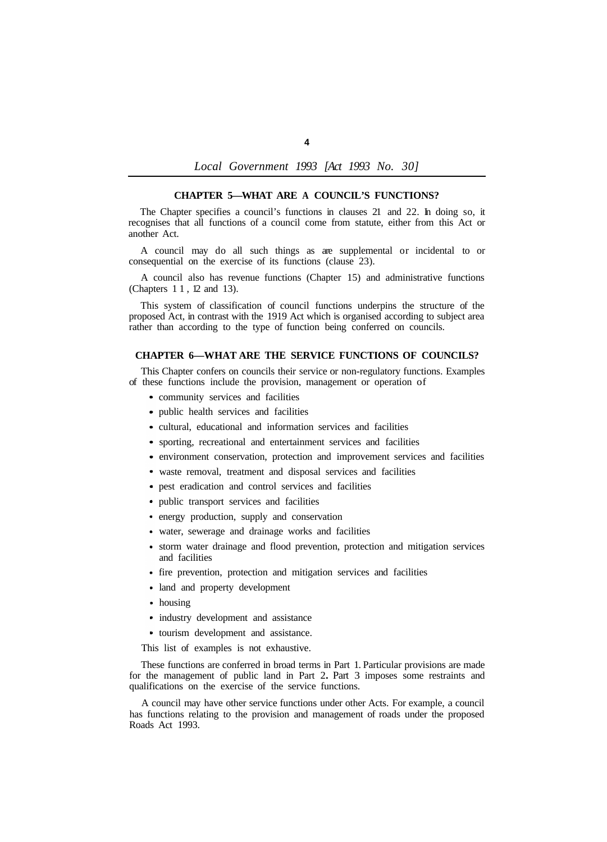### **CHAPTER 5—WHAT ARE A COUNCIL'S FUNCTIONS?**

The Chapter specifies a council's functions in clauses 21 and 22. In doing so, it recognises that all functions of a council come from statute, either from this Act or another Act.

A council may do all such things as are supplemental or incidental to or consequential on the exercise of its functions (clause 23).

A council also has revenue functions (Chapter 15) and administrative functions (Chapters 11, 12 and 13).

This system of classification of council functions underpins the structure of the proposed Act, in contrast with the 1919 Act which is organised according to subject area rather than according to the type of function being conferred on councils.

## **CHAPTER 6—WHAT ARE THE SERVICE FUNCTIONS OF COUNCILS?**

This Chapter confers on councils their service or non-regulatory functions. Examples of these functions include the provision, management or operation of

- community services and facilities
- public health services and facilities
- cultural, educational and information services and facilities
- sporting, recreational and entertainment services and facilities
- environment conservation, protection and improvement services and facilities
- waste removal, treatment and disposal services and facilities
- pest eradication and control services and facilities
- public transport services and facilities
- energy production, supply and conservation
- water, sewerage and drainage works and facilities
- storm water drainage and flood prevention, protection and mitigation services and facilities
- fire prevention, protection and mitigation services and facilities
- land and property development
- housing
- industry development and assistance
- tourism development and assistance.

This list of examples is not exhaustive.

These functions are conferred in broad terms in Part 1. Particular provisions are made for the management of public land in Part 2**.** Part 3 imposes some restraints and qualifications on the exercise of the service functions.

A council may have other service functions under other Acts. For example, a council has functions relating to the provision and management of roads under the proposed Roads Act 1993.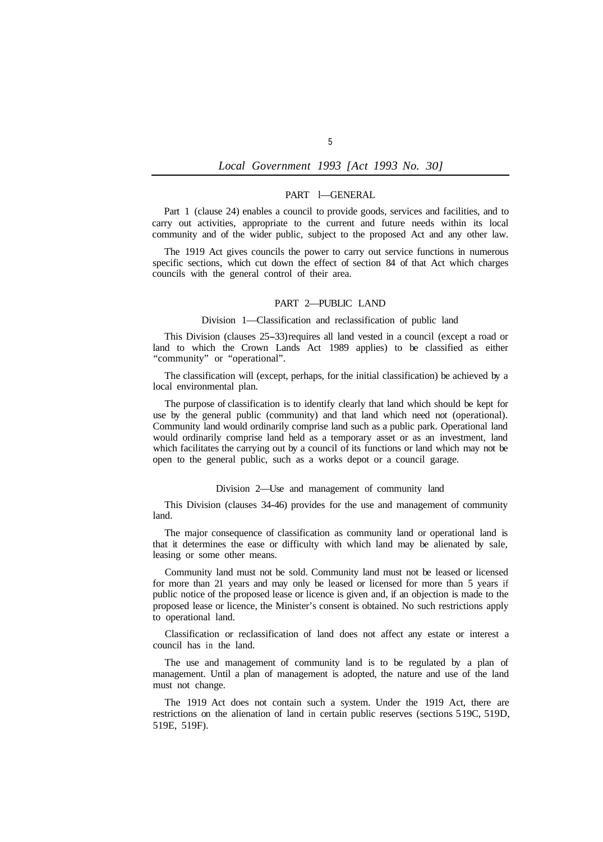## PART l—GENERAL

Part 1 (clause 24) enables a council to provide goods, services and facilities, and to carry out activities, appropriate to the current and future needs within its local community and of the wider public, subject to the proposed Act and any other law.

The 1919 Act gives councils the power to carry out service functions in numerous specific sections, which cut down the effect of section 84 of that Act which charges councils with the general control of their area.

#### PART 2—PUBLIC LAND

## Division 1—Classification and reclassification of public land

This Division (clauses 25-33) requires all land vested in a council (except a road or land to which the Crown Lands Act 1989 applies) to be classified as either "community" or "operational".

The classification will (except, perhaps, for the initial classification) be achieved by a local environmental plan.

The purpose of classification is to identify clearly that land which should be kept for use by the general public (community) and that land which need not (operational). Community land would ordinarily comprise land such as a public park. Operational land would ordinarily comprise land held as a temporary asset or as an investment, land which facilitates the carrying out by a council of its functions or land which may not be open to the general public, such as a works depot or a council garage.

#### Division 2—Use and management of community land

This Division (clauses 34-46) provides for the use and management of community land.

The major consequence of classification as community land or operational land is that it determines the ease or difficulty with which land may be alienated by sale, leasing or some other means.

Community land must not be sold. Community land must not be leased or licensed for more than 21 years and may only be leased or licensed for more than 5 years if public notice of the proposed lease or licence is given and, if an objection is made to the proposed lease or licence, the Minister's consent is obtained. No such restrictions apply to operational land.

Classification or reclassification of land does not affect any estate or interest a council has in the land.

The use and management of community land is to be regulated by a plan of management. Until a plan of management is adopted, the nature and use of the land must not change.

The 1919 Act does not contain such a system. Under the 1919 Act, there are restrictions on the alienation of land in certain public reserves (sections 5 19C, 519D, 519E, 519F).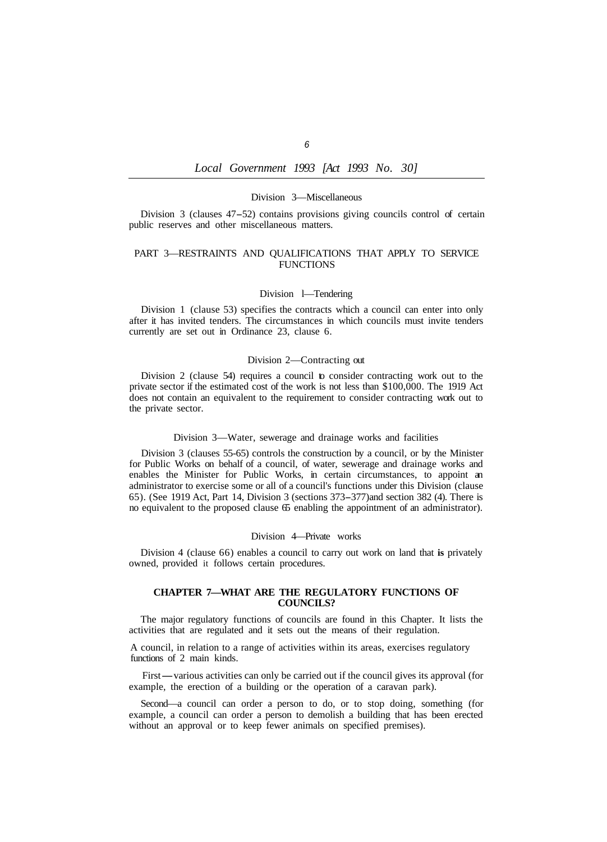#### Division 3—Miscellaneous

Division 3 (clauses 47-52) contains provisions giving councils control of certain public reserves and other miscellaneous matters.

## PART 3—RESTRAINTS AND QUALIFICATIONS THAT APPLY TO SERVICE **FUNCTIONS**

## Division l—Tendering

Division 1 (clause 53) specifies the contracts which a council can enter into only after it has invited tenders. The circumstances in which councils must invite tenders currently are set out in Ordinance 23, clause 6.

# Division 2—Contracting out

Division 2 (clause 54) requires a council to consider contracting work out to the private sector if the estimated cost of the work is not less than \$100,000. The 1919 Act does not contain an equivalent to the requirement to consider contracting work out to the private sector.

#### Division 3—Water, sewerage and drainage works and facilities

Division 3 (clauses 55-65) controls the construction by a council, or by the Minister for Public Works on behalf of a council, of water, sewerage and drainage works and enables the Minister for Public Works, in certain circumstances, to appoint an administrator to exercise some or all of a council's functions under this Division (clause 65). (See 1919 Act, Part 14, Division 3 (sections 373-377) and section 382 (4). There is no equivalent to the proposed clause 65 enabling the appointment of an administrator).

#### Division 4—Private works

Division 4 (clause 66) enables a council to carry out work on land that **is** privately owned, provided it follows certain procedures.

## **CHAPTER 7—WHAT ARE THE REGULATORY FUNCTIONS OF COUNCILS?**

The major regulatory functions of councils are found in this Chapter. It lists the activities that are regulated and it sets out the means of their regulation.

A council, in relation to a range of activities within its areas, exercises regulatory functions of 2 main kinds.

First—various activities can only be carried out if the council gives its approval (for example, the erection of a building or the operation of a caravan park).

Second—a council can order a person to do, or to stop doing, something (for example, a council can order a person to demolish a building that has been erected without an approval or to keep fewer animals on specified premises).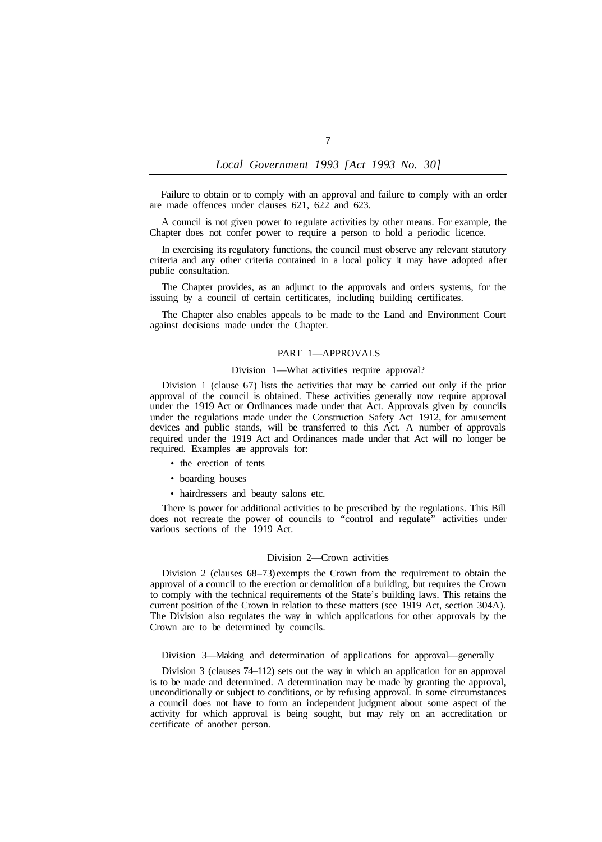Failure to obtain or to comply with an approval and failure to comply with an order are made offences under clauses 621, 622 and 623.

A council is not given power to regulate activities by other means. For example, the Chapter does not confer power to require a person to hold a periodic licence.

In exercising its regulatory functions, the council must observe any relevant statutory criteria and any other criteria contained in a local policy it may have adopted after public consultation.

The Chapter provides, as an adjunct to the approvals and orders systems, for the issuing by a council of certain certificates, including building certificates.

The Chapter also enables appeals to be made to the Land and Environment Court against decisions made under the Chapter.

## PART 1—APPROVALS

### Division 1—What activities require approval?

Division 1 (clause 67) lists the activities that may be carried out only if the prior approval of the council is obtained. These activities generally now require approval under the 1919 Act or Ordinances made under that Act. Approvals given by councils under the regulations made under the Construction Safety Act 1912, for amusement devices and public stands, will be transferred to this Act. A number of approvals required under the 1919 Act and Ordinances made under that Act will no longer be required. Examples are approvals for:

- the erection of tents
- boarding houses
- hairdressers and beauty salons etc.

There is power for additional activities to be prescribed by the regulations. This Bill does not recreate the power of councils to "control and regulate" activities under various sections of the 1919 Act.

#### Division 2—Crown activities

Division 2 (clauses 68-73) exempts the Crown from the requirement to obtain the approval of a council to the erection or demolition of a building, but requires the Crown to comply with the technical requirements of the State's building laws. This retains the current position of the Crown in relation to these matters (see 1919 Act, section 304A). The Division also regulates the way in which applications for other approvals by the Crown are to be determined by councils.

Division 3—Making and determination of applications for approval—generally

Division 3 (clauses 74–112) sets out the way in which an application for an approval is to be made and determined. A determination may be made by granting the approval, unconditionally or subject to conditions, or by refusing approval. In some circumstances a council does not have to form an independent judgment about some aspect of the activity for which approval is being sought, but may rely on an accreditation or certificate of another person.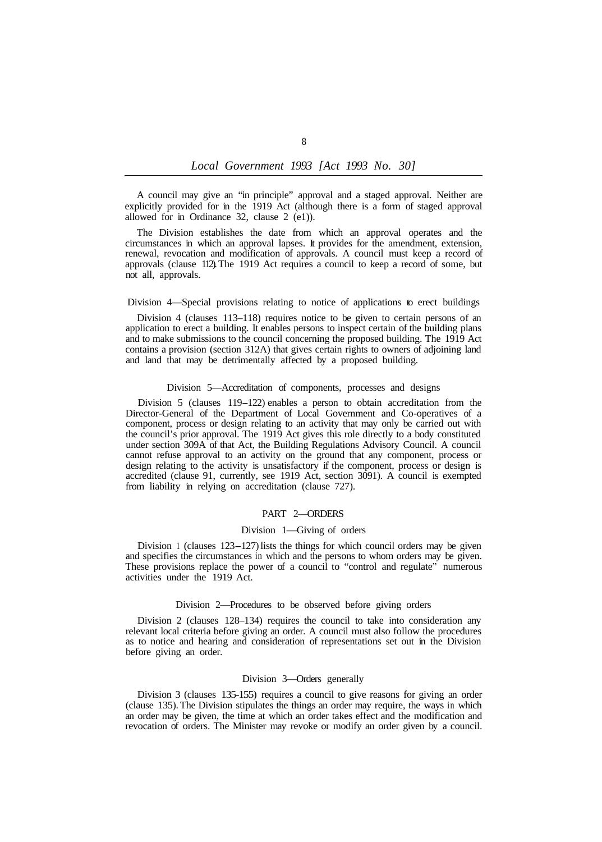A council may give an "in principle" approval and a staged approval. Neither are explicitly provided for in the 1919 Act (although there is a form of staged approval allowed for in Ordinance 32, clause 2 (e1)).

The Division establishes the date from which an approval operates and the circumstances in which an approval lapses. It provides for the amendment, extension, renewal, revocation and modification of approvals. A council must keep a record of approvals (clause 112). The 1919 Act requires a council to keep a record of some, but not all, approvals.

#### Division 4—Special provisions relating to notice of applications to erect buildings

Division 4 (clauses 113–118) requires notice to be given to certain persons of an application to erect a building. It enables persons to inspect certain of the building plans and to make submissions to the council concerning the proposed building. The 1919 Act contains a provision (section 312A) that gives certain rights to owners of adjoining land and land that may be detrimentally affected by a proposed building.

#### Division 5—Accreditation of components, processes and designs

Division 5 (clauses 119-122) enables a person to obtain accreditation from the Director-General of the Department of Local Government and Co-operatives of a component, process or design relating to an activity that may only be carried out with the council's prior approval. The 1919 Act gives this role directly to a body constituted under section 309A of that Act, the Building Regulations Advisory Council. A council cannot refuse approval to an activity on the ground that any component, process or design relating to the activity is unsatisfactory if the component, process or design is accredited (clause 91, currently, see 1919 Act, section 3091). A council is exempted from liability in relying on accreditation (clause 727).

#### PART 2—ORDERS

#### Division 1—Giving of orders

Division 1 (clauses 123-127) lists the things for which council orders may be given and specifies the circumstances in which and the persons to whom orders may be given. These provisions replace the power of a council to "control and regulate" numerous activities under the 1919 Act.

#### Division 2—Procedures to be observed before giving orders

Division 2 (clauses 128–134) requires the council to take into consideration any relevant local criteria before giving an order. A council must also follow the procedures as to notice and hearing and consideration of representations set out in the Division before giving an order.

#### Division 3—Orders generally

Division 3 (clauses 135-155) requires a council to give reasons for giving an order (clause 135). The Division stipulates the things an order may require, the ways in which an order may be given, the time at which an order takes effect and the modification and revocation of orders. The Minister may revoke or modify an order given by a council.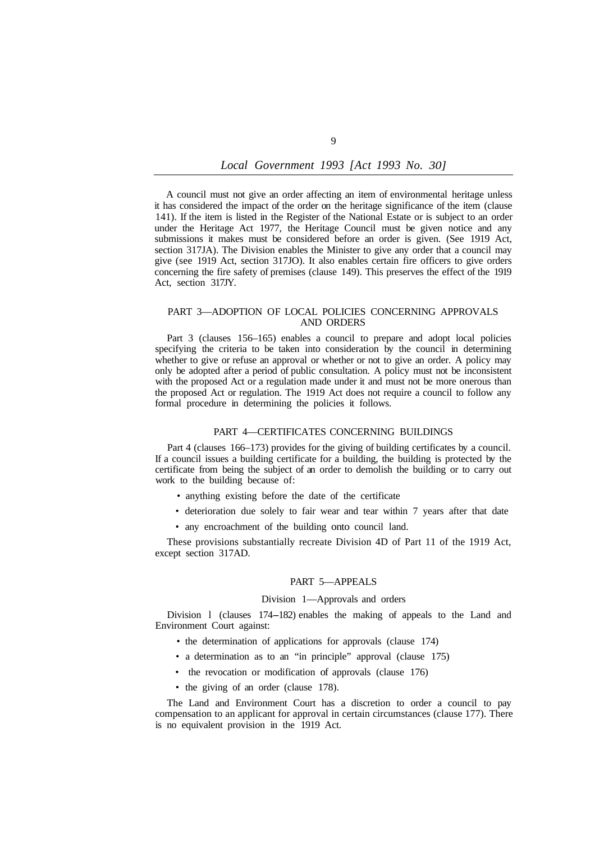A council must not give an order affecting an item of environmental heritage unless it has considered the impact of the order on the heritage significance of the item (clause 141). If the item is listed in the Register of the National Estate or is subject to an order under the Heritage Act 1977, the Heritage Council must be given notice and any submissions it makes must be considered before an order is given. (See 1919 Act, section 317JA). The Division enables the Minister to give any order that a council may give (see 1919 Act, section 317JO). It also enables certain fire officers to give orders concerning the fire safety of premises (clause 149). This preserves the effect of the 1919 Act, section 317JY.

## PART 3—ADOPTION OF LOCAL POLICIES CONCERNING APPROVALS AND ORDERS

Part 3 (clauses 156–165) enables a council to prepare and adopt local policies specifying the criteria to be taken into consideration by the council in determining whether to give or refuse an approval or whether or not to give an order. A policy may only be adopted after a period of public consultation. A policy must not be inconsistent with the proposed Act or a regulation made under it and must not be more onerous than the proposed Act or regulation. The 1919 Act does not require a council to follow any formal procedure in determining the policies it follows.

## PART 4—CERTIFICATES CONCERNING BUILDINGS

Part 4 (clauses 166–173) provides for the giving of building certificates by a council. If a council issues a building certificate for a building, the building is protected by the certificate from being the subject of an order to demolish the building or to carry out work to the building because of:

- anything existing before the date of the certificate
- deterioration due solely to fair wear and tear within 7 years after that date
- any encroachment of the building onto council land.

These provisions substantially recreate Division 4D of Part 11 of the 1919 Act, except section 317AD.

### PART 5—APPEALS

### Division 1—Approvals and orders

Division l (clauses 174-182) enables the making of appeals to the Land and Environment Court against:

- the determination of applications for approvals (clause 174)
- a determination as to an "in principle" approval (clause 175)
- the revocation or modification of approvals (clause 176)
- the giving of an order (clause 178).

The Land and Environment Court has a discretion to order a council to pay compensation to an applicant for approval in certain circumstances (clause 177). There is no equivalent provision in the 1919 Act.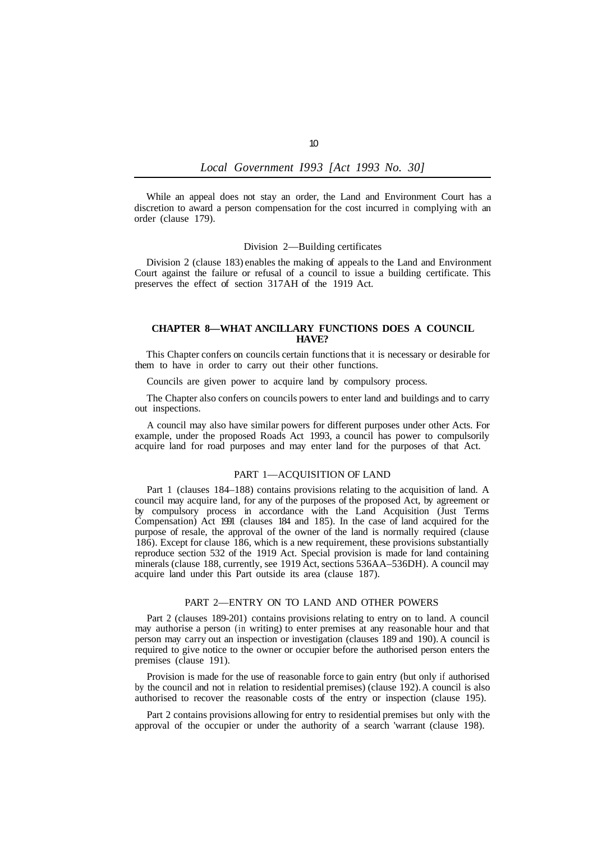While an appeal does not stay an order, the Land and Environment Court has a discretion to award a person compensation for the cost incurred in complying with an order (clause 179).

#### Division 2—Building certificates

Division 2 (clause 183) enables the making of appeals to the Land and Environment Court against the failure or refusal of a council to issue a building certificate. This preserves the effect of section 317AH of the 1919 Act.

## **CHAPTER 8—WHAT ANCILLARY FUNCTIONS DOES A COUNCIL HAVE?**

This Chapter confers on councils certain functions that it is necessary or desirable for them to have in order to carry out their other functions.

Councils are given power to acquire land by compulsory process.

The Chapter also confers on councils powers to enter land and buildings and to carry out inspections.

A council may also have similar powers for different purposes under other Acts. For example, under the proposed Roads Act 1993, a council has power to compulsorily acquire land for road purposes and may enter land for the purposes of that Act.

## PART 1—ACQUISITION OF LAND

Part 1 (clauses 184–188) contains provisions relating to the acquisition of land. A council may acquire land, for any of the purposes of the proposed Act, by agreement or by compulsory process in accordance with the Land Acquisition (Just Terms Compensation) Act 1991 (clauses 184 and 185). In the case of land acquired for the purpose of resale, the approval of the owner of the land is normally required (clause 186). Except for clause 186, which is a new requirement, these provisions substantially reproduce section 532 of the 1919 Act. Special provision is made for land containing minerals (clause 188, currently, see 1919 Act, sections 536AA–536DH). A council may acquire land under this Part outside its area (clause 187).

## PART 2—ENTRY ON TO LAND AND OTHER POWERS

Part 2 (clauses 189-201) contains provisions relating to entry on to land. A council may authorise a person (in writing) to enter premises at any reasonable hour and that person may carry out an inspection or investigation (clauses 189 and 190). A council is required to give notice to the owner or occupier before the authorised person enters the premises (clause 191).

Provision is made for the use of reasonable force to gain entry (but only if authorised by the council and not in relation to residential premises) (clause 192). A council is also authorised to recover the reasonable costs of the entry or inspection (clause 195).

Part 2 contains provisions allowing for entry to residential premises but only with the approval of the occupier or under the authority of a search 'warrant (clause 198).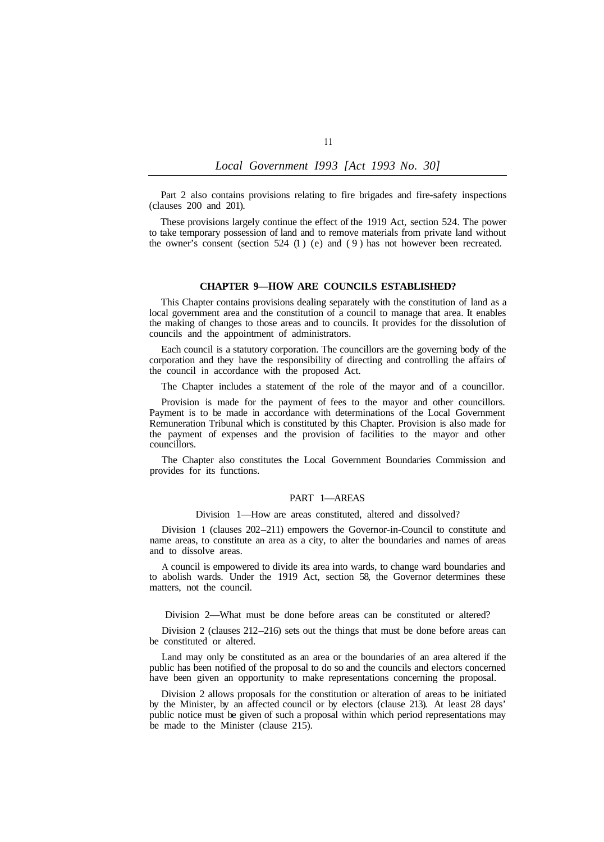Part 2 also contains provisions relating to fire brigades and fire-safety inspections (clauses 200 and 201).

These provisions largely continue the effect of the 1919 Act, section 524. The power to take temporary possession of land and to remove materials from private land without the owner's consent (section  $524$  (1) (e) and (9) has not however been recreated.

## **CHAPTER 9—HOW ARE COUNCILS ESTABLISHED?**

This Chapter contains provisions dealing separately with the constitution of land as a local government area and the constitution of a council to manage that area. It enables the making of changes to those areas and to councils. **It** provides for the dissolution of councils and the appointment of administrators.

Each council is a statutory corporation. The councillors are the governing body of the corporation and they have the responsibility of directing and controlling the affairs of the council in accordance with the proposed Act.

The Chapter includes a statement of the role of the mayor and of a councillor.

Provision is made for the payment of fees to the mayor and other councillors. Payment is to be made in accordance with determinations of the Local Government Remuneration Tribunal which is constituted by this Chapter. Provision is also made for the payment of expenses and the provision of facilities to the mayor and other councillors.

The Chapter also constitutes the Local Government Boundaries Commission and provides for its functions.

## PART 1—AREAS

Division 1—How are areas constituted, altered and dissolved?

Division 1 (clauses 202-211) empowers the Governor-in-Council to constitute and name areas, to constitute an area as a city, to alter the boundaries and names of areas and to dissolve areas.

A council is empowered to divide its area into wards, to change ward boundaries and to abolish wards. Under the 1919 Act, section 58, the Governor determines these matters, not the council.

Division 2—What must be done before areas can be constituted or altered?

Division 2 (clauses 212-216) sets out the things that must be done before areas can be constituted or altered.

Land may only be constituted as an area or the boundaries of an area altered if the public has been notified of the proposal to do so and the councils and electors concerned have been given an opportunity to make representations concerning the proposal.

Division 2 allows proposals for the constitution or alteration of areas to be initiated by the Minister, by an affected council or by electors (clause 213). At least 28 days' public notice must be given of such a proposal within which period representations may be made to the Minister (clause 215).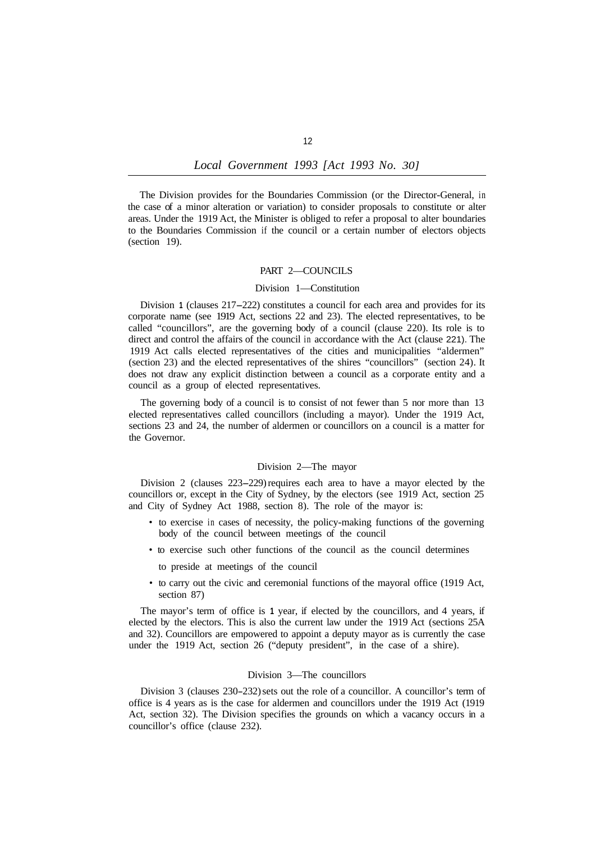The Division provides for the Boundaries Commission (or the Director-General, in the case of a minor alteration or variation) to consider proposals to constitute or alter areas. Under the 1919 Act, the Minister is obliged to refer a proposal to alter boundaries to the Boundaries Commission if the council or a certain number of electors objects (section 19).

## PART 2—COUNCILS

### Division 1—Constitution

Division **1** (clauses 217-222) constitutes a council for each area and provides for its corporate name (see 1919 Act, sections 22 and 23). The elected representatives, to be called "councillors", are the governing body of a council (clause 220). Its role is to direct and control the affairs of the council in accordance with the Act (clause 221). The 1919 Act calls elected representatives of the cities and municipalities "aldermen" (section 23) and the elected representatives of the shires "councillors" (section 24). It does not draw any explicit distinction between a council as a corporate entity and a council as a group of elected representatives.

The governing body of a council is to consist of not fewer than 5 nor more than 13 elected representatives called councillors (including a mayor). Under the 1919 Act, sections 23 and 24, the number of aldermen or councillors on a council is a matter for the Governor.

## Division 2—The mayor

Division 2 (clauses 223-229) requires each area to have a mayor elected by the councillors or, except in the City of Sydney, by the electors (see 1919 Act, section 25 and City of Sydney Act 1988, section 8). The role of the mayor is:

- to exercise in cases of necessity, the policy-making functions of the governing body of the council between meetings of the council
- to exercise such other functions of the council as the council determines
	- to preside at meetings of the council
- to carry out the civic and ceremonial functions of the mayoral office (1919 Act, section 87)

The mayor's term of office is **1** year, if elected by the councillors, and 4 years, if elected by the electors. This is also the current law under the 1919 Act (sections 25A and 32). Councillors are empowered to appoint a deputy mayor as is currently the case under the 1919 Act, section 26 ("deputy president", in the case of a shire).

#### Division 3—The councillors

Division 3 (clauses 230-232) sets out the role of a councillor. A councillor's term of office is 4 years as is the case for aldermen and councillors under the 1919 Act (1919 Act, section 32). The Division specifies the grounds on which a vacancy occurs in a councillor's office (clause 232).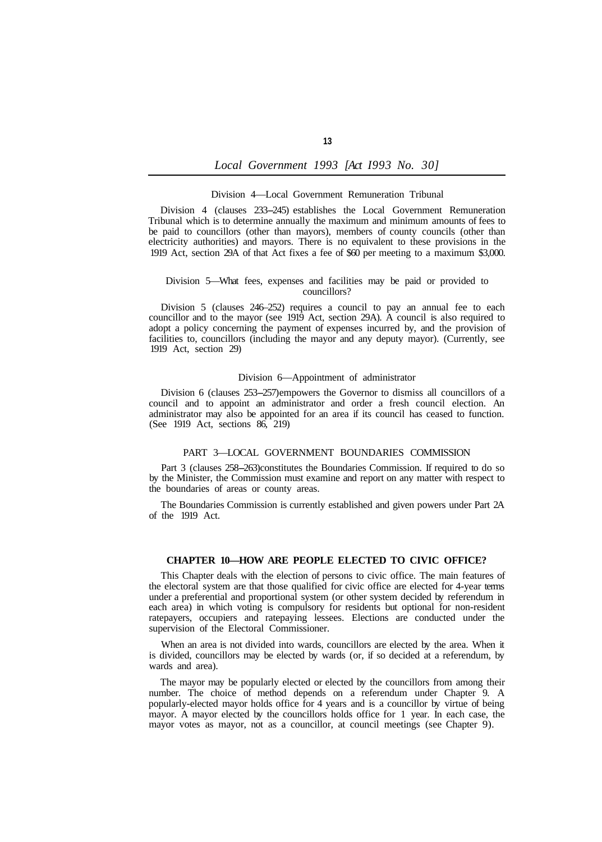### Division 4—Local Government Remuneration Tribunal

Division 4 (clauses 233-245) establishes the Local Government Remuneration Tribunal which is to determine annually the maximum and minimum amounts of fees to be paid to councillors (other than mayors), members of county councils (other than electricity authorities) and mayors. There is no equivalent to these provisions in the 1919 Act, section 29A of that Act fixes a fee of \$60 per meeting to a maximum \$3,000.

## Division 5—What fees, expenses and facilities may be paid or provided to councillors?

Division 5 (clauses 246–252) requires a council to pay an annual fee to each councillor and to the mayor (see 1919 Act, section 29A). A council is also required to adopt a policy concerning the payment of expenses incurred by, and the provision of facilities to, councillors (including the mayor and any deputy mayor). (Currently, see 1919 Act, section 29)

## Division 6—Appointment of administrator

Division 6 (clauses 253-257) empowers the Governor to dismiss all councillors of a council and to appoint an administrator and order a fresh council election. An administrator may also be appointed for an area if its council has ceased to function. (See 1919 Act, sections 86, 219)

## PART 3—LOCAL GOVERNMENT BOUNDARIES COMMISSION

Part 3 (clauses 258-263) constitutes the Boundaries Commission. If required to do so by the Minister, the Commission must examine and report on any matter with respect to the boundaries of areas or county areas.

The Boundaries Commission is currently established and given powers under Part 2A of the 1919 Act.

#### **CHAPTER 10—HOW ARE PEOPLE ELECTED TO CIVIC OFFICE?**

This Chapter deals with the election of persons to civic office. The main features of the electoral system are that those qualified for civic office are elected for 4-year terms under a preferential and proportional system (or other system decided by referendum in each area) in which voting is compulsory for residents but optional for non-resident ratepayers, occupiers and ratepaying lessees. Elections are conducted under the supervision of the Electoral Commissioner.

When an area is not divided into wards, councillors are elected by the area. When it is divided, councillors may be elected by wards (or, if so decided at a referendum, by wards and area).

The mayor may be popularly elected or elected by the councillors from among their number. The choice of method depends on a referendum under Chapter 9. A popularly-elected mayor holds office for 4 years and is a councillor by virtue of being mayor. A mayor elected by the councillors holds office for 1 year. In each case, the mayor votes as mayor, not as a councillor, at council meetings (see Chapter 9).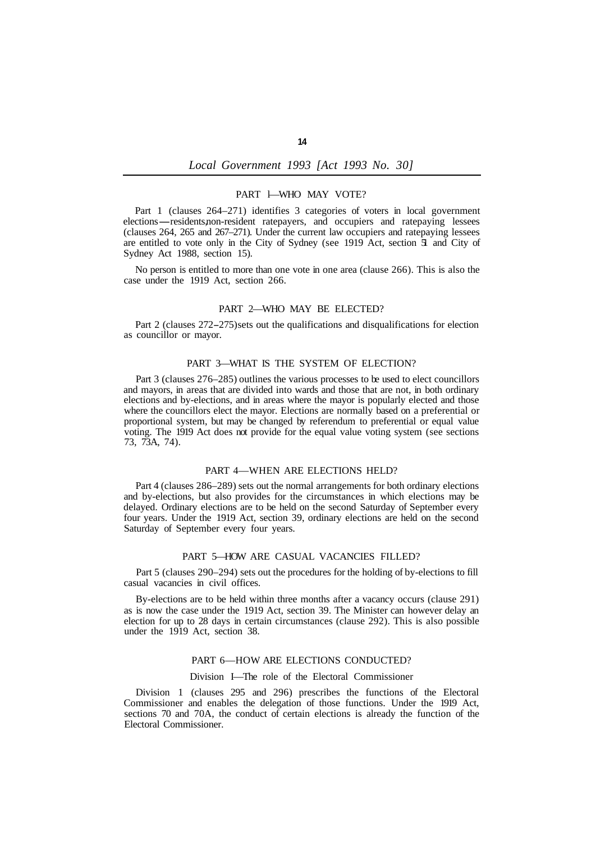## PART l—WHO MAY VOTE?

Part 1 (clauses 264–271) identifies 3 categories of voters in local government elections—residents, non-resident ratepayers, and occupiers and ratepaying lessees (clauses 264, 265 and 267–271). Under the current law occupiers and ratepaying lessees are entitled to vote only in the City of Sydney (see 1919 Act, section 51 and City of Sydney Act 1988, section 15).

No person is entitled to more than one vote in one area (clause 266). This is also the case under the 1919 Act, section 266.

### PART 2—WHO MAY BE ELECTED?

Part 2 (clauses 272-275) sets out the qualifications and disqualifications for election as councillor or mayor.

## PART 3—WHAT IS THE SYSTEM OF ELECTION?

Part 3 (clauses 276–285) outlines the various processes to be used to elect councillors and mayors, in areas that are divided into wards and those that are not, in both ordinary elections and by-elections, and in areas where the mayor is popularly elected and those where the councillors elect the mayor. Elections are normally based on a preferential or proportional system, but may be changed by referendum to preferential or equal value voting. The 1919 Act does not provide for the equal value voting system (see sections 73, 73A, 74).

#### PART 4—WHEN ARE ELECTIONS HELD?

Part 4 (clauses 286–289) sets out the normal arrangements for both ordinary elections and by-elections, but also provides for the circumstances in which elections may be delayed. Ordinary elections are to be held on the second Saturday of September every four years. Under the 1919 Act, section 39, ordinary elections are held on the second Saturday of September every four years.

## PART 5—HOW ARE CASUAL VACANCIES FILLED?

Part 5 (clauses 290–294) sets out the procedures for the holding of by-elections to fill casual vacancies in civil offices.

By-elections are to be held within three months after a vacancy occurs (clause 291) as is now the case under the 1919 Act, section 39. The Minister can however delay an election for up to 28 days in certain circumstances (clause 292). This is also possible under the 1919 Act, section 38.

### PART 6—HOW ARE ELECTIONS CONDUCTED?

#### Division I—The role of the Electoral Commissioner

Division 1 (clauses 295 and 296) prescribes the functions of the Electoral Commissioner and enables the delegation of those functions. Under the 1919 Act, sections 70 and 70A, the conduct of certain elections is already the function of the Electoral Commissioner.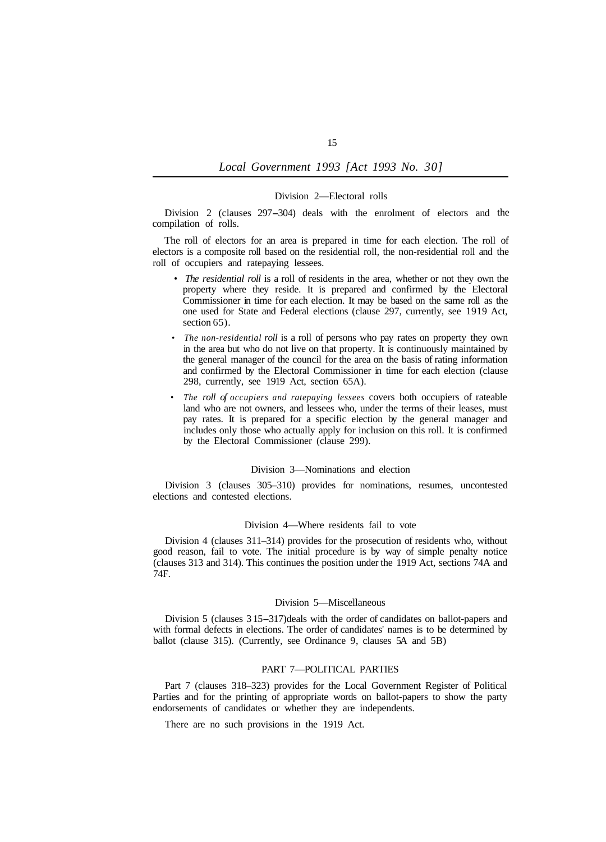#### Division 2—Electoral rolls

Division 2 (clauses 297–304) deals with the enrolment of electors and the compilation of rolls.

The roll of electors for an area is prepared in time for each election. The roll of electors is a composite roll based on the residential roll, the non-residential roll and the roll of occupiers and ratepaying lessees.

- *The residential roll* is a roll of residents in the area, whether or not they own the property where they reside. It is prepared and confirmed by the Electoral Commissioner in time for each election. It may be based on the same roll as the one used for State and Federal elections (clause 297, currently, see 1919 Act, section 65).
- *The non-residential roll* is a roll of persons who pay rates on property they own in the area but who do not live on that property. It is continuously maintained by the general manager of the council for the area on the basis of rating information and confirmed by the Electoral Commissioner in time for each election (clause 298, currently, see 1919 Act, section 65A).
- *The roll of occupiers and ratepaying lessees* covers both occupiers of rateable land who are not owners, and lessees who, under the terms of their leases, must pay rates. It is prepared for a specific election by the general manager and includes only those who actually apply for inclusion on this roll. It is confirmed by the Electoral Commissioner (clause 299).

#### Division 3—Nominations and election

Division 3 (clauses 305–310) provides for nominations, resumes, uncontested elections and contested elections.

## Division 4—Where residents fail to vote

Division 4 (clauses 311–314) provides for the prosecution of residents who, without good reason, fail to vote. The initial procedure is by way of simple penalty notice (clauses 313 and 314). This continues the position under the 1919 Act, sections 74A and 74F.

#### Division 5—Miscellaneous

Division 5 (clauses 3 15-317) deals with the order of candidates on ballot-papers and with formal defects in elections. The order of candidates' names is to be determined by ballot (clause 315). (Currently, see Ordinance 9, clauses 5A and 5B)

## PART 7—POLITICAL PARTIES

Part 7 (clauses 318–323) provides for the Local Government Register of Political Parties and for the printing of appropriate words on ballot-papers to show the party endorsements of candidates or whether they are independents.

There are no such provisions in the 1919 Act.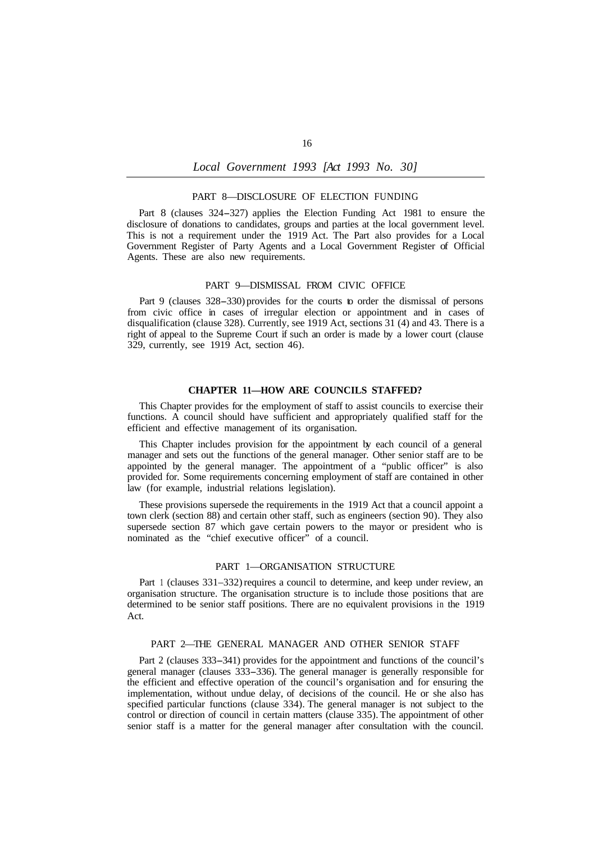### PART 8—DISCLOSURE OF ELECTION FUNDING

Part 8 (clauses 324-327) applies the Election Funding Act 1981 to ensure the disclosure of donations to candidates, groups and parties at the local government level. This is not a requirement under the 1919 Act. The Part also provides for a Local Government Register of Party Agents and a Local Government Register of Official Agents. These are also new requirements.

#### PART 9—DISMISSAL FROM CIVIC OFFICE

Part 9 (clauses 328-330) provides for the courts to order the dismissal of persons from civic office in cases of irregular election or appointment and in cases of disqualification (clause 328). Currently, see 1919 Act, sections 31 (4) and 43. There is a right of appeal to the Supreme Court if such an order is made by a lower court (clause 329, currently, see 1919 Act, section 46).

### **CHAPTER 11—HOW ARE COUNCILS STAFFED?**

This Chapter provides for the employment of staff to assist councils to exercise their functions. A council should have sufficient and appropriately qualified staff for the efficient and effective management of its organisation.

This Chapter includes provision for the appointment by each council of a general manager and sets out the functions of the general manager. Other senior staff are to be appointed by the general manager. The appointment of a "public officer" is also provided for. Some requirements concerning employment of staff are contained in other law (for example, industrial relations legislation).

These provisions supersede the requirements in the 1919 Act that a council appoint a town clerk (section 88) and certain other staff, such as engineers (section 90). They also supersede section 87 which gave certain powers to the mayor or president who is nominated as the "chief executive officer" of a council.

#### PART 1—ORGANISATION STRUCTURE

Part 1 (clauses 331–332) requires a council to determine, and keep under review, an organisation structure. The organisation structure is to include those positions that are determined to be senior staff positions. There are no equivalent provisions in the 1919 Act.

### PART 2—THE GENERAL MANAGER AND OTHER SENIOR STAFF

Part 2 (clauses 333-341) provides for the appointment and functions of the council's general manager (clauses 333-336). The general manager is generally responsible for the efficient and effective operation of the council's organisation and for ensuring the implementation, without undue delay, of decisions of the council. He or she also has specified particular functions (clause 334). The general manager is not subject to the control or direction of council in certain matters (clause 335). The appointment of other senior staff is a matter for the general manager after consultation with the council.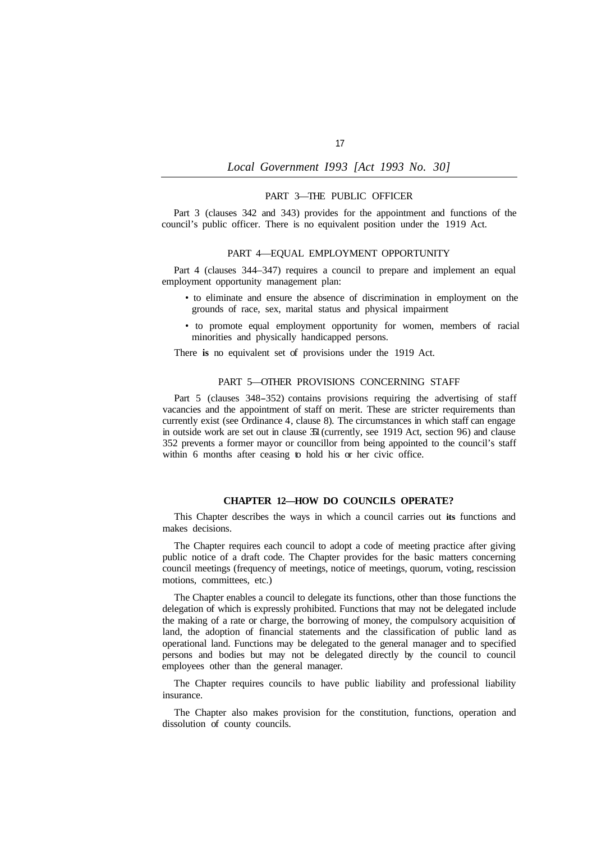### PART 3—THE PUBLIC OFFICER

Part 3 (clauses 342 and 343) provides for the appointment and functions of the council's public officer. There is no equivalent position under the 1919 Act.

### PART 4—EQUAL EMPLOYMENT OPPORTUNITY

Part 4 (clauses 344–347) requires a council to prepare and implement an equal employment opportunity management plan:

- to eliminate and ensure the absence of discrimination in employment on the grounds of race, sex, marital status and physical impairment
- to promote equal employment opportunity for women, members of racial minorities and physically handicapped persons.

There **is** no equivalent set of provisions under the 1919 Act.

## PART 5—OTHER PROVISIONS CONCERNING STAFF

Part 5 (clauses 348-352) contains provisions requiring the advertising of staff vacancies and the appointment of staff on merit. These are stricter requirements than currently exist (see Ordinance 4, clause 8). The circumstances in which staff can engage in outside work are set out in clause 351 (currently, see 1919 Act, section 96) and clause 352 prevents a former mayor or councillor from being appointed to the council's staff within 6 months after ceasing to hold his or her civic office.

## **CHAPTER 12—HOW DO COUNCILS OPERATE?**

This Chapter describes the ways in which a council carries out **its** functions and makes decisions.

The Chapter requires each council to adopt a code of meeting practice after giving public notice of a draft code. The Chapter provides for the basic matters concerning council meetings (frequency of meetings, notice of meetings, quorum, voting, rescission motions, committees, etc.)

The Chapter enables a council to delegate its functions, other than those functions the delegation of which is expressly prohibited. Functions that may not be delegated include the making of a rate or charge, the borrowing of money, the compulsory acquisition of land, the adoption of financial statements and the classification of public land as operational land. Functions may be delegated to the general manager and to specified persons and bodies but may not be delegated directly by the council to council employees other than the general manager.

The Chapter requires councils to have public liability and professional liability insurance.

The Chapter also makes provision for the constitution, functions, operation and dissolution of county councils.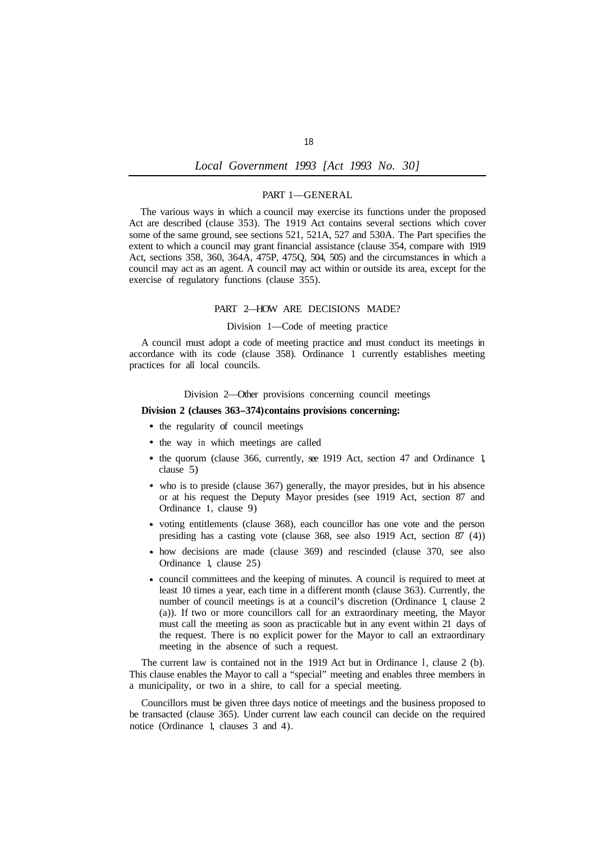### PART 1—GENERAL

The various ways in which a council may exercise its functions under the proposed Act are described (clause 353). The 1919 Act contains several sections which cover some of the same ground, see sections 521, 521A, 527 and 530A. The Part specifies the extent to which a council may grant financial assistance (clause 354, compare with 1919 Act, sections 358, 360, 364A, 475P, 475Q, 504, 505) and the circumstances in which a council may act as an agent. A council may act within or outside its area, except for the exercise of regulatory functions (clause 355).

## PART 2—HOW ARE DECISIONS MADE?

## Division 1—Code of meeting practice

A council must adopt a code of meeting practice and must conduct its meetings in accordance with its code (clause 358). Ordinance 1 currently establishes meeting practices for all local councils.

#### Division 2—Other provisions concerning council meetings

## **Division 2 (clauses 363-374) contains provisions concerning:**

- the regularity of council meetings
- the way in which meetings are called
- the quorum (clause 366, currently, see 1919 Act, section 47 and Ordinance 1, clause 5)
- who is to preside (clause 367) generally, the mayor presides, but in his absence or at his request the Deputy Mayor presides (see 1919 Act, section 87 and Ordinance **1,** clause 9)
- voting entitlements (clause 368), each councillor has one vote and the person presiding has a casting vote (clause 368, see also 1919 Act, section 87 (4))
- how decisions are made (clause 369) and rescinded (clause 370, see also Ordinance 1, clause 25)
- council committees and the keeping of minutes. A council is required to meet at least 10 times a year, each time in a different month (clause 363). Currently, the number of council meetings is at a council's discretion (Ordinance 1, clause 2 (a)). If two or more councillors call for an extraordinary meeting, the Mayor must call the meeting as soon as practicable but in any event within 21 days of the request. There is no explicit power for the Mayor to call an extraordinary meeting in the absence of such a request.

The current law is contained not in the 1919 Act but in Ordinance l, clause 2 (b). This clause enables the Mayor to call a "special" meeting and enables three members in a municipality, or two in a shire, to call for a special meeting.

Councillors must be given three days notice of meetings and the business proposed to be transacted (clause 365). Under current law each council can decide on the required notice (Ordinance 1, clauses 3 and 4).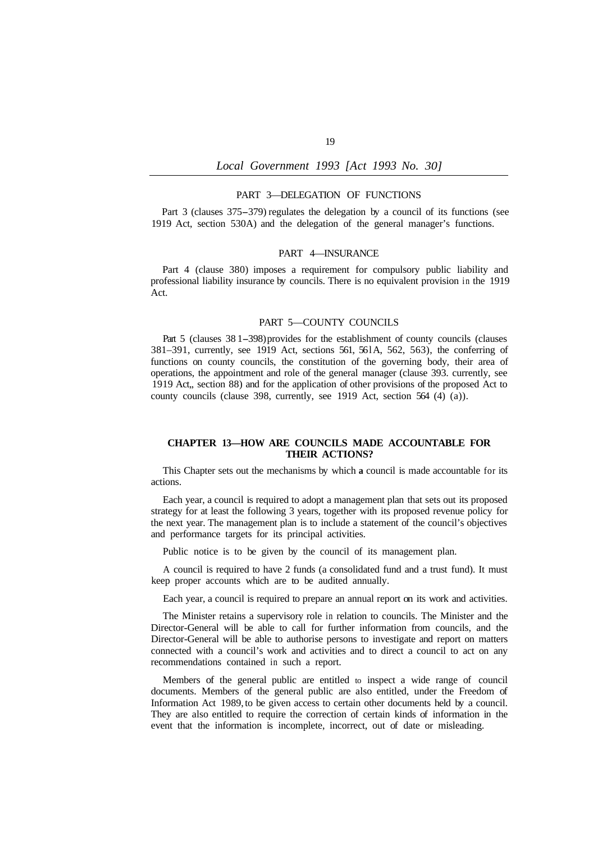### PART 3—DELEGATION OF FUNCTIONS

Part 3 (clauses 375-379) regulates the delegation by a council of its functions (see 1919 Act, section 530A) and the delegation of the general manager's functions.

### PART 4—INSURANCE

Part 4 (clause 380) imposes a requirement for compulsory public liability and professional liability insurance by councils. There is no equivalent provision in the 1919 Act.

## PART 5—COUNTY COUNCILS

Part 5 (clauses 38 1-398) provides for the establishment of county councils (clauses 381–391, currently, see 1919 Act, sections 561, 561A, 562, 563), the conferring of functions on county councils, the constitution of the governing body, their area of operations, the appointment and role of the general manager (clause 393. currently, see 1919 Act,, section 88) and for the application of other provisions of the proposed Act to county councils (clause 398, currently, see 1919 Act, section 564 (4) (a)).

## **CHAPTER 13—HOW ARE COUNCILS MADE ACCOUNTABLE FOR THEIR ACTIONS?**

This Chapter sets out the mechanisms by which **a** council is made accountable for its actions.

Each year, a council is required to adopt a management plan that sets out its proposed strategy for at least the following 3 years, together with its proposed revenue policy for the next year. The management plan is to include a statement of the council's objectives and performance targets for its principal activities.

Public notice is to be given by the council of its management plan.

A council is required to have 2 funds (a consolidated fund and a trust fund). It must keep proper accounts which are to be audited annually.

Each year, a council is required to prepare an annual report on its work and activities.

The Minister retains a supervisory role in relation to councils. The Minister and the Director-General will be able to call for further information from councils, and the Director-General will be able to authorise persons to investigate and report on matters connected with a council's work and activities and to direct a council to act on any recommendations contained in such a report.

Members of the general public are entitled to inspect a wide range of council documents. Members of the general public are also entitled, under the Freedom of Information Act 1989, to be given access to certain other documents held by a council. They are also entitled to require the correction of certain kinds of information in the event that the information is incomplete, incorrect, out of date or misleading.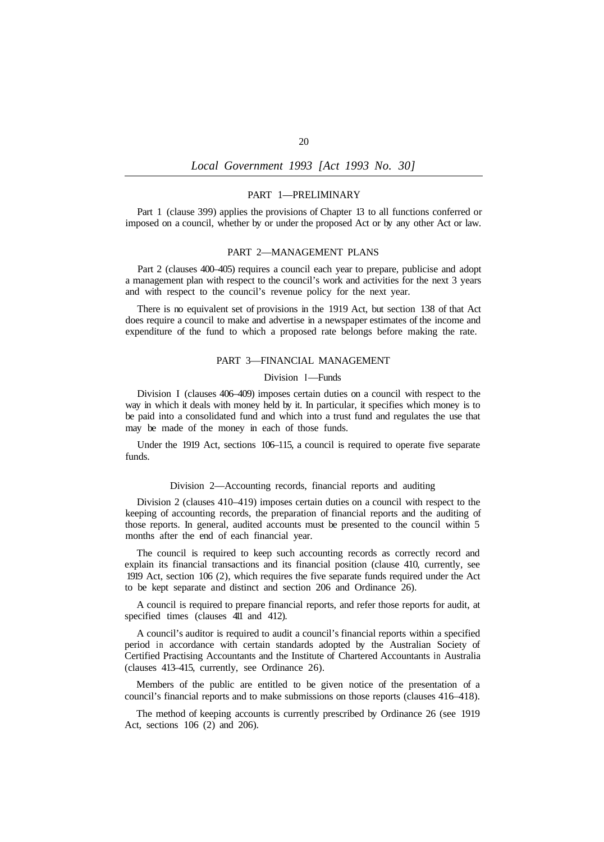## PART 1—PRELIMINARY

Part 1 (clause 399) applies the provisions of Chapter 13 to all functions conferred or imposed on a council, whether by or under the proposed Act or by any other Act or law.

#### PART 2—MANAGEMENT PLANS

Part 2 (clauses 400–405) requires a council each year to prepare, publicise and adopt a management plan with respect to the council's work and activities for the next 3 years and with respect to the council's revenue policy for the next year.

There is no equivalent set of provisions in the 1919 Act, but section 138 of that Act does require a council to make and advertise in a newspaper estimates of the income and expenditure of the fund to which a proposed rate belongs before making the rate.

## PART 3—FINANCIAL MANAGEMENT

### Division **I**-Funds

Division I (clauses 406–409) imposes certain duties on a council with respect to the way in which it deals with money held by it. In particular, it specifies which money is to be paid into a consolidated fund and which into a trust fund and regulates the use that may be made of the money in each of those funds.

Under the 1919 Act, sections 106–115, a council is required to operate five separate funds.

#### Division 2—Accounting records, financial reports and auditing

Division 2 (clauses 410–419) imposes certain duties on a council with respect to the keeping of accounting records, the preparation of financial reports and the auditing of those reports. In general, audited accounts must be presented to the council within 5 months after the end of each financial year.

The council is required to keep such accounting records as correctly record and explain its financial transactions and its financial position (clause 410, currently, see 1919 Act, section 106 (2), which requires the five separate funds required under the Act to be kept separate and distinct and section 206 and Ordinance 26).

A council is required to prepare financial reports, and refer those reports for audit, at specified times (clauses 411 and 412).

A council's auditor is required to audit a council's financial reports within a specified period in accordance with certain standards adopted by the Australian Society of Certified Practising Accountants and the Institute of Chartered Accountants in Australia (clauses 413–415, currently, see Ordinance 26).

Members of the public are entitled to be given notice of the presentation of a council's financial reports and to make submissions on those reports (clauses 416–418).

The method of keeping accounts is currently prescribed by Ordinance 26 (see 1919 Act, sections 106 (2) and 206).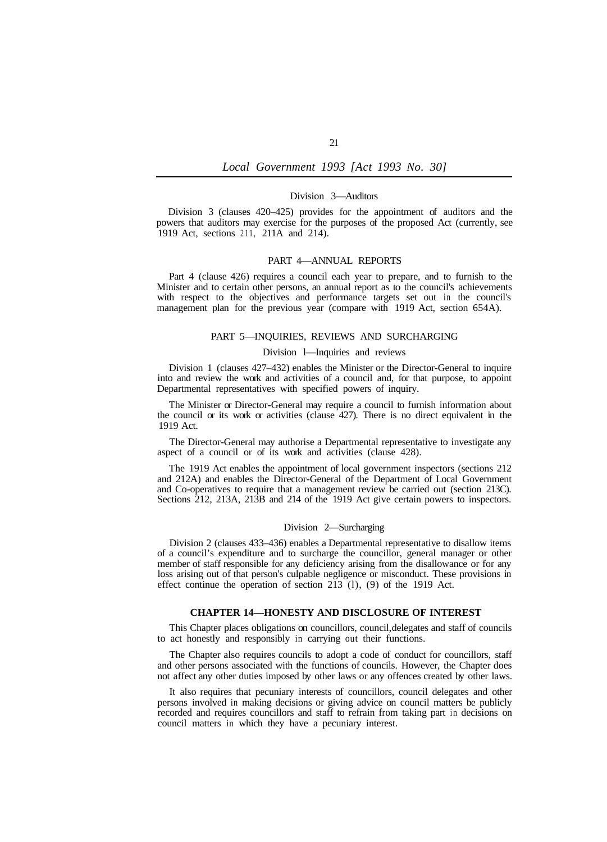#### Division 3—Auditors

Division 3 (clauses 420–425) provides for the appointment of auditors and the powers that auditors may exercise for the purposes of the proposed Act (currently, see 1919 Act, sections 211, 211A and 214).

#### PART 4—ANNUAL REPORTS

Part 4 (clause 426) requires a council each year to prepare, and to furnish to the Minister and to certain other persons, an annual report as to the council's achievements with respect to the objectives and performance targets set out in the council's management plan for the previous year (compare with 1919 Act, section 654A).

### PART 5—INQUIRIES, REVIEWS AND SURCHARGING

### Division l—Inquiries and reviews

Division 1 (clauses 427–432) enables the Minister or the Director-General to inquire into and review the work and activities of a council and, for that purpose, to appoint Departmental representatives with specified powers of inquiry.

The Minister or Director-General may require a council to furnish information about the council or its work or activities (clause 427). There is no direct equivalent in the 1919 Act.

The Director-General may authorise a Departmental representative to investigate any aspect of a council or of its work and activities (clause 428).

The 1919 Act enables the appointment of local government inspectors (sections 212 and 212A) and enables the Director-General of the Department of Local Government and Co-operatives to require that a management review be carried out (section 213C). Sections 212, 213A, 213B and 214 of the 1919 Act give certain powers to inspectors.

## Division 2—Surcharging

Division 2 (clauses 433–436) enables a Departmental representative to disallow items of a council's expenditure and to surcharge the councillor, general manager or other member of staff responsible for any deficiency arising from the disallowance or for any loss arising out of that person's culpable negligence or misconduct. These provisions in effect continue the operation of section  $2\overline{13}$  (1), (9) of the 1919 Act.

## **CHAPTER 14—HONESTY AND DISCLOSURE OF INTEREST**

This Chapter places obligations on councillors, council, delegates and staff of councils to act honestly and responsibly in carrying out their functions.

The Chapter also requires councils to adopt a code of conduct for councillors, staff and other persons associated with the functions of councils. However, the Chapter does not affect any other duties imposed by other laws or any offences created by other laws.

It also requires that pecuniary interests of councillors, council delegates and other persons involved in making decisions or giving advice on council matters be publicly recorded and requires councillors and staff to refrain from taking part in decisions on council matters in which they have a pecuniary interest.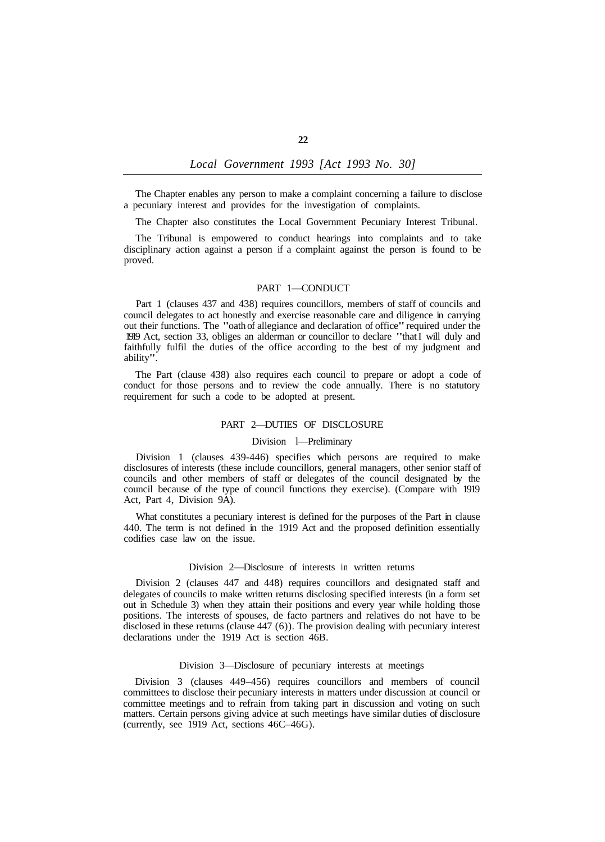The Chapter enables any person to make a complaint concerning a failure to disclose a pecuniary interest and provides for the investigation of complaints.

The Chapter also constitutes the Local Government Pecuniary Interest Tribunal.

The Tribunal is empowered to conduct hearings into complaints and to take disciplinary action against a person if a complaint against the person is found to be proved.

#### PART 1—CONDUCT

Part 1 (clauses 437 and 438) requires councillors, members of staff of councils and council delegates to act honestly and exercise reasonable care and diligence in carrying out their functions. The "oath of allegiance and declaration of office" required under the 1919 Act, section 33, obliges an alderman or councillor to declare "that I will duly and faithfully fulfil the duties of the office according to the best of my judgment and ability".

The Part (clause 438) also requires each council to prepare or adopt a code of conduct for those persons and to review the code annually. There is no statutory requirement for such a code to be adopted at present.

## PART 2—DUTIES OF DISCLOSURE

#### Division l—Preliminary

Division 1 (clauses 439-446) specifies which persons are required to make disclosures of interests (these include councillors, general managers, other senior staff of councils and other members of staff or delegates of the council designated by the council because of the type of council functions they exercise). (Compare with 1919 Act, Part 4, Division 9A).

What constitutes a pecuniary interest is defined for the purposes of the Part in clause 440. The term is not defined in the 1919 Act and the proposed definition essentially codifies case law on the issue.

#### Division 2—Disclosure of interests in written returns

Division 2 (clauses 447 and 448) requires councillors and designated staff and delegates of councils to make written returns disclosing specified interests (in a form set out in Schedule 3) when they attain their positions and every year while holding those positions. The interests of spouses, de facto partners and relatives do not have to be disclosed in these returns (clause 447 (6)). The provision dealing with pecuniary interest declarations under the 1919 Act is section 46B.

#### Division 3—Disclosure of pecuniary interests at meetings

Division 3 (clauses 449–456) requires councillors and members of council committees to disclose their pecuniary interests in matters under discussion at council or committee meetings and to refrain from taking part in discussion and voting on such matters. Certain persons giving advice at such meetings have similar duties of disclosure (currently, see 1919 Act, sections 46C–46G).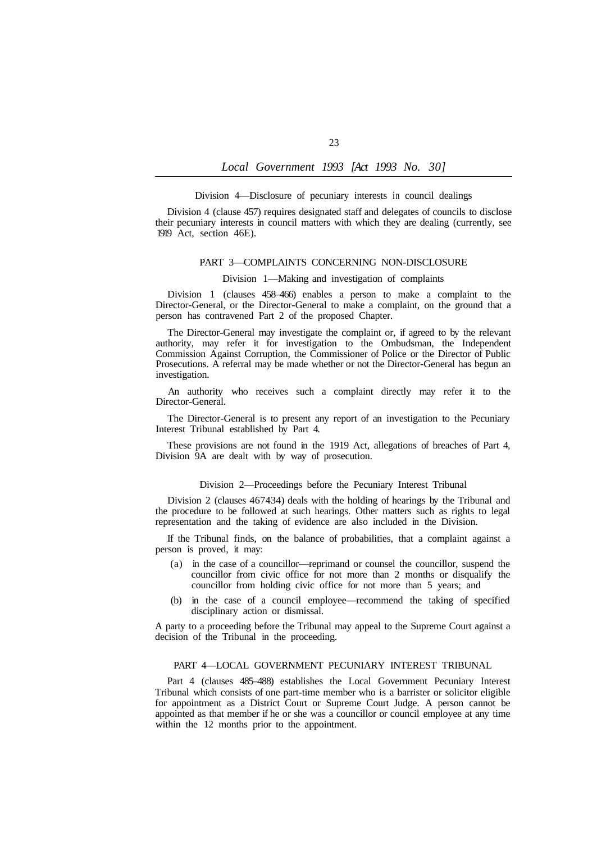#### Division 4—Disclosure of pecuniary interests in council dealings

Division 4 (clause 457) requires designated staff and delegates of councils to disclose their pecuniary interests in council matters with which they are dealing (currently, see 1919 Act, section 46E).

### PART 3—COMPLAINTS CONCERNING NON-DISCLOSURE

## Division 1—Making and investigation of complaints

Division 1 (clauses 458–466) enables a person to make a complaint to the Director-General, or the Director-General to make a complaint, on the ground that a person has contravened Part 2 of the proposed Chapter.

The Director-General may investigate the complaint or, if agreed to by the relevant authority, may refer it for investigation to the Ombudsman, the Independent Commission Against Corruption, the Commissioner of Police or the Director of Public Prosecutions. A referral may be made whether or not the Director-General has begun an investigation.

An authority who receives such a complaint directly may refer it to the Director-General.

The Director-General is to present any report of an investigation to the Pecuniary Interest Tribunal established by Part 4.

These provisions are not found in the 1919 Act, allegations of breaches of Part 4, Division 9A are dealt with by way of prosecution.

#### Division 2—Proceedings before the Pecuniary Interest Tribunal

Division 2 (clauses 467434) deals with the holding of hearings by the Tribunal and the procedure to be followed at such hearings. Other matters such as rights to legal representation and the taking of evidence are also included in the Division.

If the Tribunal finds, on the balance of probabilities, that a complaint against a person is proved, it may:

- (a) in the case of a councillor—reprimand or counsel the councillor, suspend the councillor from civic office for not more than 2 months or disqualify the councillor from holding civic office for not more than 5 years; and
- (b) in the case of a council employee—recommend the taking of specified disciplinary action or dismissal.

A party to a proceeding before the Tribunal may appeal to the Supreme Court against a decision of the Tribunal in the proceeding.

## PART 4—LOCAL GOVERNMENT PECUNIARY INTEREST TRIBUNAL

Part 4 (clauses 485–488) establishes the Local Government Pecuniary Interest Tribunal which consists of one part-time member who is a barrister or solicitor eligible for appointment as a District Court or Supreme Court Judge. A person cannot be appointed as that member if he or she was a councillor or council employee at any time within the 12 months prior to the appointment.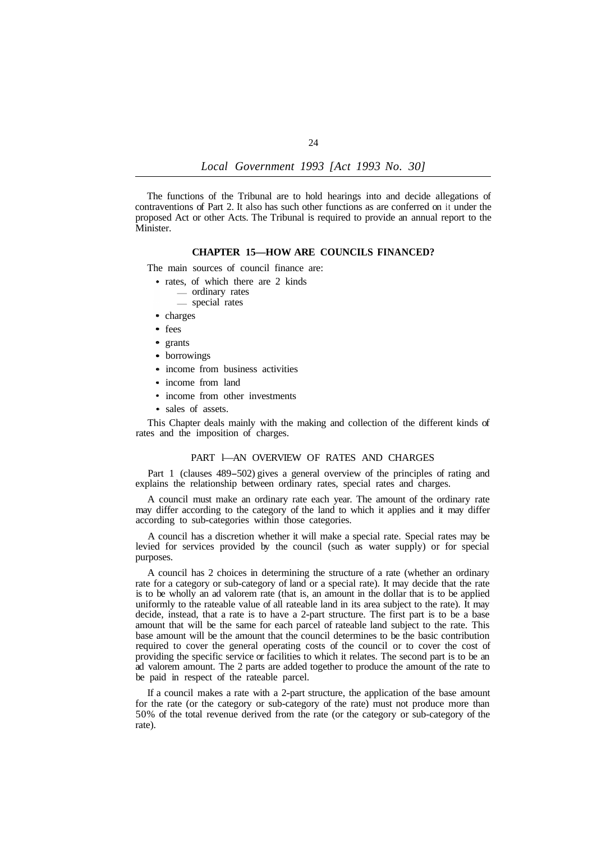The functions of the Tribunal are to hold hearings into and decide allegations of contraventions of Part 2. It also has such other functions as are conferred on it under the proposed Act or other Acts. The Tribunal is required to provide an annual report to the Minister.

## **CHAPTER 15—HOW ARE COUNCILS FINANCED?**

The main sources of council finance are:

- rates, of which there are 2 kinds
	- ordinary rates
	- special rates
- charges
- fees
- grants
- borrowings
- income from business activities
- income from land
- income from other investments
- sales of assets.

This Chapter deals mainly with the making and collection of the different kinds of rates and the imposition of charges.

## PART l—AN OVERVIEW OF RATES AND CHARGES

Part 1 (clauses 489-502) gives a general overview of the principles of rating and explains the relationship between ordinary rates, special rates and charges.

A council must make an ordinary rate each year. The amount of the ordinary rate may differ according to the category of the land to which it applies and it may differ according to sub-categories within those categories.

A council has a discretion whether it will make a special rate. Special rates may be levied for services provided by the council (such as water supply) or for special purposes.

A council has 2 choices in determining the structure of a rate (whether an ordinary rate for a category or sub-category of land or a special rate). It may decide that the rate is to be wholly an ad valorem rate (that is, an amount in the dollar that is to be applied uniformly to the rateable value of all rateable land in its area subject to the rate). It may decide, instead, that a rate is to have a 2-part structure. The first part is to be a base amount that will be the same for each parcel of rateable land subject to the rate. This base amount will be the amount that the council determines to be the basic contribution required to cover the general operating costs of the council or to cover the cost of providing the specific service or facilities to which it relates. The second part is to be an ad valorem amount. The 2 parts are added together to produce the amount of the rate to be paid in respect of the rateable parcel.

If a council makes a rate with a 2-part structure, the application of the base amount for the rate (or the category or sub-category of the rate) must not produce more than 50% of the total revenue derived from the rate (or the category or sub-category of the rate).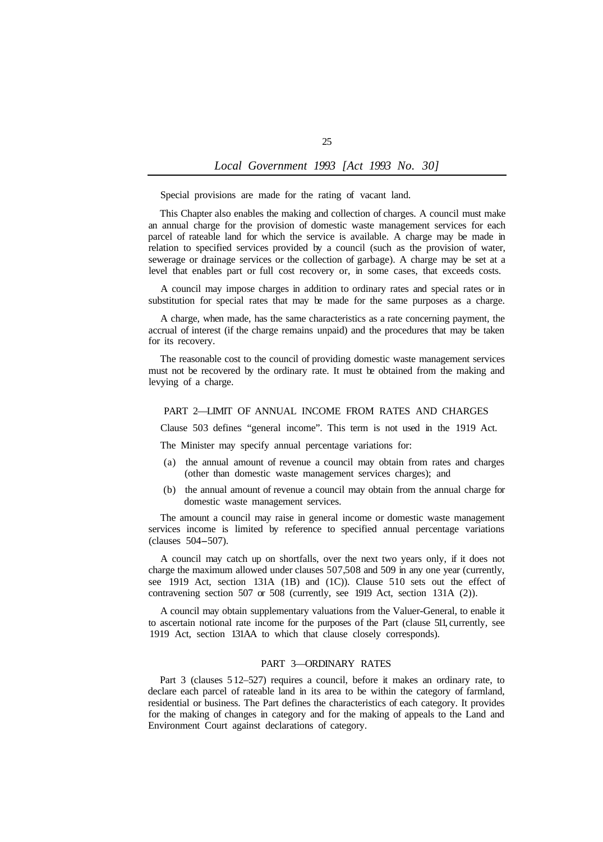Special provisions are made for the rating of vacant land.

This Chapter also enables the making and collection of charges. A council must make an annual charge for the provision of domestic waste management services for each parcel of rateable land for which the service is available. A charge may be made in relation to specified services provided by a council (such as the provision of water, sewerage or drainage services or the collection of garbage). A charge may be set at a level that enables part or full cost recovery or, in some cases, that exceeds costs.

A council may impose charges in addition to ordinary rates and special rates or in substitution for special rates that may be made for the same purposes as a charge.

A charge, when made, has the same characteristics as a rate concerning payment, the accrual of interest (if the charge remains unpaid) and the procedures that may be taken for its recovery.

The reasonable cost to the council of providing domestic waste management services must not be recovered by the ordinary rate. It must be obtained from the making and levying of a charge.

## PART 2—LIMIT OF ANNUAL INCOME FROM RATES AND CHARGES

Clause 503 defines "general income". This term is not used in the 1919 Act.

The Minister may specify annual percentage variations for:

- (a) the annual amount of revenue a council may obtain from rates and charges (other than domestic waste management services charges); and
- (b) the annual amount of revenue a council may obtain from the annual charge for domestic waste management services.

The amount a council may raise in general income or domestic waste management services income is limited by reference to specified annual percentage variations (clauses 504-507).

A council may catch up on shortfalls, over the next two years only, if it does not charge the maximum allowed under clauses 507, 508 and 509 in any one year (currently, see 1919 Act, section 131A (1B) and (1C)). Clause 510 sets out the effect of contravening section 507 or 508 (currently, see 1919 Act, section 131A (2)).

A council may obtain supplementary valuations from the Valuer-General, to enable it to ascertain notional rate income for the purposes of the Part (clause 511, currently, see 1919 Act, section 131AA to which that clause closely corresponds).

## PART 3—ORDINARY RATES

Part 3 (clauses 5 12–527) requires a council, before it makes an ordinary rate, to declare each parcel of rateable land in its area to be within the category of farmland, residential or business. The Part defines the characteristics of each category. It provides for the making of changes in category and for the making of appeals to the Land and Environment Court against declarations of category.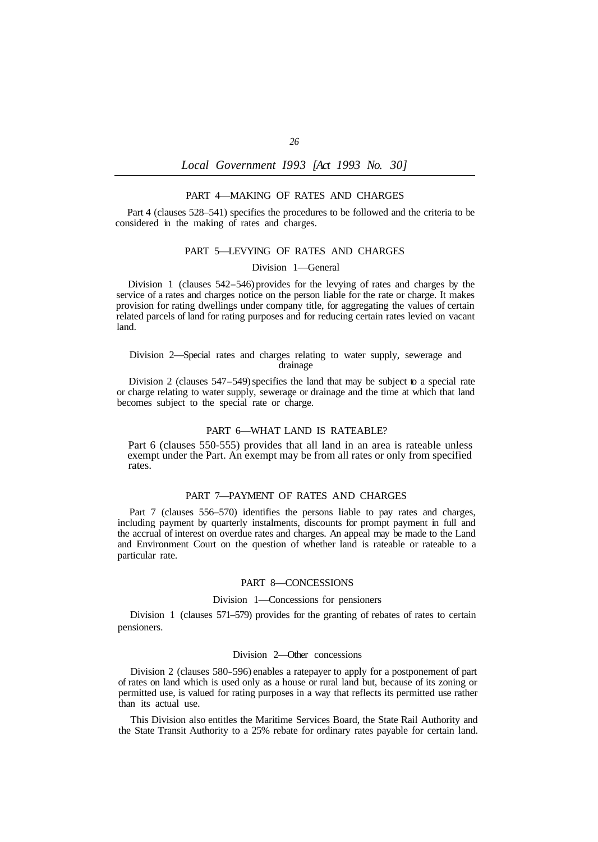#### PART 4—MAKING OF RATES AND CHARGES

Part 4 (clauses 528–541) specifies the procedures to be followed and the criteria to be considered in the making of rates and charges.

## PART 5—LEVYING OF RATES AND CHARGES

### Division 1—General

Division 1 (clauses 542-546) provides for the levying of rates and charges by the service of a rates and charges notice on the person liable for the rate or charge. It makes provision for rating dwellings under company title, for aggregating the values of certain related parcels of land for rating purposes and for reducing certain rates levied on vacant land.

Division 2—Special rates and charges relating to water supply, sewerage and drainage

Division 2 (clauses 547-549) specifies the land that may be subject to a special rate or charge relating to water supply, sewerage or drainage and the time at which that land becomes subject to the special rate or charge.

## PART 6—WHAT LAND IS RATEABLE?

Part 6 (clauses 550-555) provides that all land in an area is rateable unless exempt under the Part. An exempt may be from all rates or only from specified rates.

#### PART 7—PAYMENT OF RATES AND CHARGES

Part 7 (clauses 556–570) identifies the persons liable to pay rates and charges, including payment by quarterly instalments, discounts for prompt payment in full and the accrual of interest on overdue rates and charges. An appeal may be made to the Land and Environment Court on the question of whether land is rateable or rateable to a particular rate.

#### PART 8—CONCESSIONS

#### Division 1—Concessions for pensioners

Division 1 (clauses 571–579) provides for the granting of rebates of rates to certain pensioners.

### Division 2—Other concessions

Division 2 (clauses 580-596) enables a ratepayer to apply for a postponement of part of rates on land which is used only as a house or rural land but, because of its zoning or permitted use, is valued for rating purposes in a way that reflects its permitted use rather than its actual use.

This Division also entitles the Maritime Services Board, the State Rail Authority and the State Transit Authority to a 25% rebate for ordinary rates payable for certain land.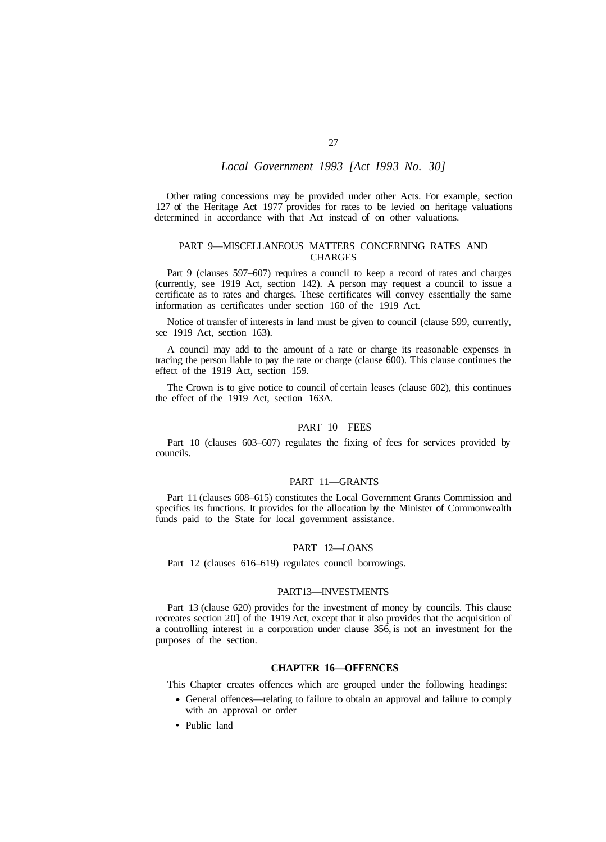Other rating concessions may be provided under other Acts. For example, section 127 of the Heritage Act 1977 provides for rates to be levied on heritage valuations determined in accordance with that Act instead of on other valuations.

## PART 9—MISCELLANEOUS MATTERS CONCERNING RATES AND CHARGES

Part 9 (clauses 597–607) requires a council to keep a record of rates and charges (currently, see 1919 Act, section 142). A person may request a council to issue a certificate as to rates and charges. These certificates will convey essentially the same information as certificates under section 160 of the 1919 Act.

Notice of transfer of interests in land must be given to council (clause 599, currently, see 1919 Act, section 163).

A council may add to the amount of a rate or charge its reasonable expenses in tracing the person liable to pay the rate or charge (clause 600). This clause continues the effect of the 1919 Act, section 159.

The Crown is to give notice to council of certain leases (clause 602), this continues the effect of the 1919 Act, section 163A.

### PART 10—FEES

Part 10 (clauses 603–607) regulates the fixing of fees for services provided by councils.

## PART 11—GRANTS

Part 11 (clauses 608–615) constitutes the Local Government Grants Commission and specifies its functions. It provides for the allocation by the Minister of Commonwealth funds paid to the State for local government assistance.

## PART 12—LOANS

Part 12 (clauses 616–619) regulates council borrowings.

#### PART 13—INVESTMENTS

Part 13 (clause 620) provides for the investment of money by councils. This clause recreates section 20] of the 1919 Act, except that it also provides that the acquisition of a controlling interest in a corporation under clause 356, is not an investment for the purposes of the section.

## **CHAPTER 16—OFFENCES**

This Chapter creates offences which are grouped under the following headings:

- General offences—relating to failure to obtain an approval and failure to comply with an approval or order
- Public land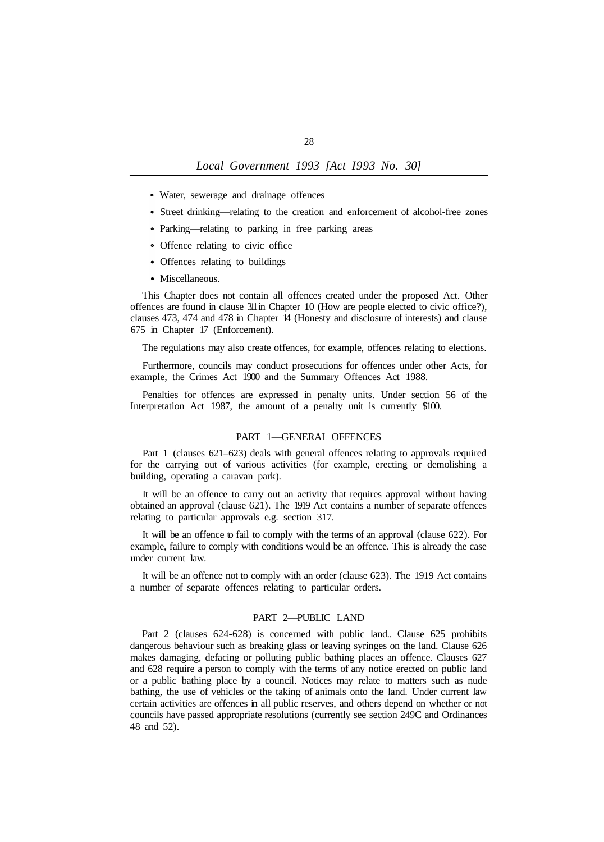- Water, sewerage and drainage offences
- Street drinking—relating to the creation and enforcement of alcohol-free zones
- Parking—relating to parking in free parking areas
- Offence relating to civic office
- Offences relating to buildings
- Miscellaneous.

This Chapter does not contain all offences created under the proposed Act. Other offences are found in clause 311 in Chapter 10 (How are people elected to civic office?), clauses 473, 474 and 478 in Chapter 14 (Honesty and disclosure of interests) and clause 675 in Chapter 17 (Enforcement).

The regulations may also create offences, for example, offences relating to elections.

Furthermore, councils may conduct prosecutions for offences under other Acts, for example, the Crimes Act 1900 and the Summary Offences Act 1988.

Penalties for offences are expressed in penalty units. Under section 56 of the Interpretation Act 1987, the amount of a penalty unit is currently \$100.

#### PART 1—GENERAL OFFENCES

Part 1 (clauses 621–623) deals with general offences relating to approvals required for the carrying out of various activities (for example, erecting or demolishing a building, operating a caravan park).

It will be an offence to carry out an activity that requires approval without having obtained an approval (clause 621). The 1919 Act contains a number of separate offences relating to particular approvals e.g. section 317.

It will be an offence to fail to comply with the terms of an approval (clause 622). For example, failure to comply with conditions would be an offence. This is already the case under current law.

It will be an offence not to comply with an order (clause 623). The 1919 Act contains a number of separate offences relating to particular orders.

## PART 2—PUBLIC LAND

Part 2 (clauses 624-628) is concerned with public land.. Clause 625 prohibits dangerous behaviour such as breaking glass or leaving syringes on the land. Clause 626 makes damaging, defacing or polluting public bathing places an offence. Clauses 627 and 628 require a person to comply with the terms of any notice erected on public land or a public bathing place by a council. Notices may relate to matters such as nude bathing, the use of vehicles or the taking of animals onto the land. Under current law certain activities are offences in all public reserves, and others depend on whether or not councils have passed appropriate resolutions (currently see section 249C and Ordinances 48 and 52).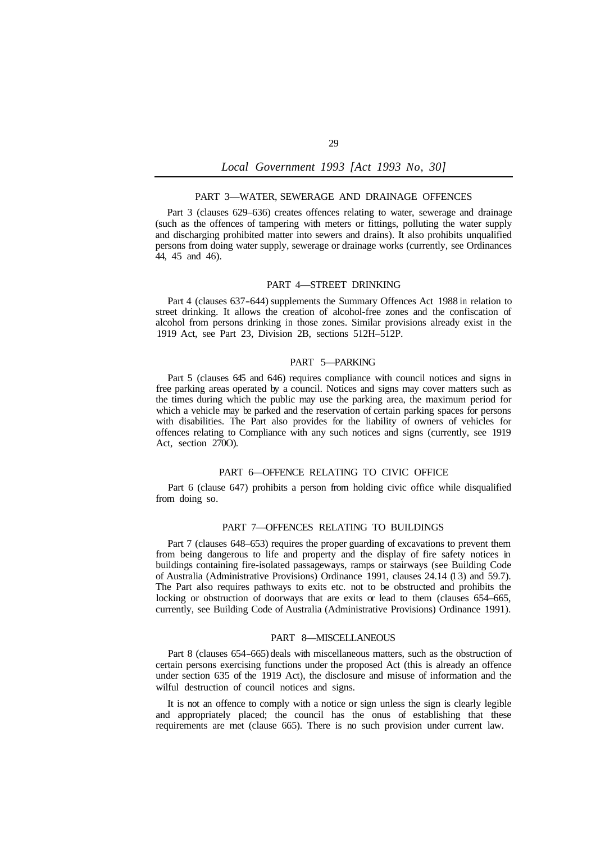### PART 3—WATER, SEWERAGE AND DRAINAGE OFFENCES

Part 3 (clauses 629–636) creates offences relating to water, sewerage and drainage (such as the offences of tampering with meters or fittings, polluting the water supply and discharging prohibited matter into sewers and drains). It also prohibits unqualified persons from doing water supply, sewerage or drainage works (currently, see Ordinances 44, 45 and 46).

## PART 4—STREET DRINKING

Part 4 (clauses 637-644) supplements the Summary Offences Act 1988 in relation to street drinking. It allows the creation of alcohol-free zones and the confiscation of alcohol from persons drinking in those zones. Similar provisions already exist in the 1919 Act, see Part 23, Division 2B, sections 512H–512P.

## PART 5—PARKING

Part 5 (clauses 645 and 646) requires compliance with council notices and signs in free parking areas operated by a council. Notices and signs may cover matters such as the times during which the public may use the parking area, the maximum period for which a vehicle may be parked and the reservation of certain parking spaces for persons with disabilities. The Part also provides for the liability of owners of vehicles for offences relating to Compliance with any such notices and signs (currently, see 1919 Act, section 270O).

## PART 6—OFFENCE RELATING TO CIVIC OFFICE

Part 6 (clause 647) prohibits a person from holding civic office while disqualified from doing so.

#### PART 7—OFFENCES RELATING TO BUILDINGS

Part 7 (clauses 648–653) requires the proper guarding of excavations to prevent them from being dangerous to life and property and the display of fire safety notices in buildings containing fire-isolated passageways, ramps or stairways (see Building Code of Australia (Administrative Provisions) Ordinance 1991, clauses 24.14 (1 3) and 59.7). The Part also requires pathways to exits etc. not to be obstructed and prohibits the locking or obstruction of doorways that are exits or lead to them (clauses 654–665, currently, see Building Code of Australia (Administrative Provisions) Ordinance 1991).

### PART 8—MISCELLANEOUS

Part 8 (clauses 654-665) deals with miscellaneous matters, such as the obstruction of certain persons exercising functions under the proposed Act (this is already an offence under section 635 of the 1919 Act), the disclosure and misuse of information and the wilful destruction of council notices and signs.

It is not an offence to comply with a notice or sign unless the sign is clearly legible and appropriately placed; the council has the onus of establishing that these requirements are met (clause 665). There is no such provision under current law.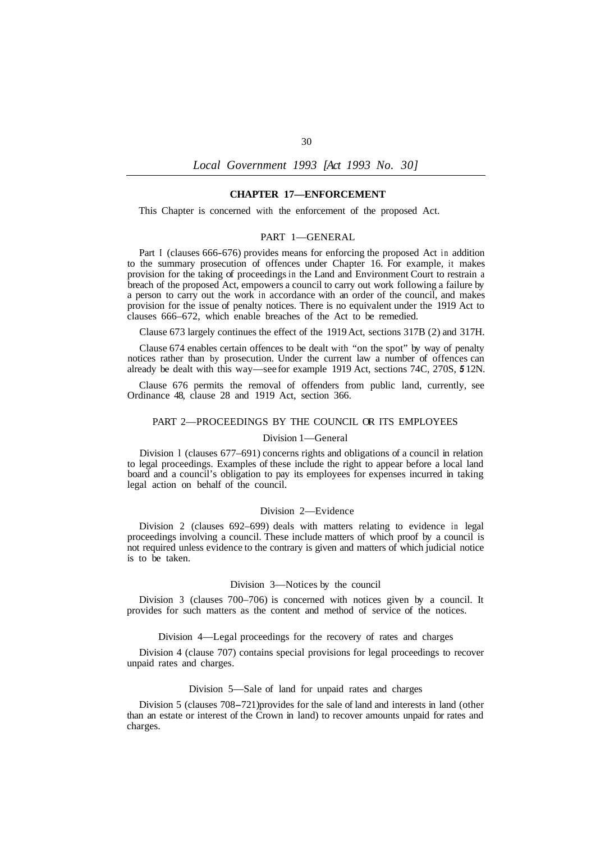### **CHAPTER 17—ENFORCEMENT**

This Chapter is concerned with the enforcement of the proposed Act.

### PART 1—GENERAL

Part I (clauses 666-676) provides means for enforcing the proposed Act in addition to the summary prosecution of offences under Chapter 16. For example, it makes provision for the taking of proceedings in the Land and Environment Court to restrain a breach of the proposed Act, empowers a council to carry out work following a failure by a person to carry out the work in accordance with an order of the council, and makes provision for the issue of penalty notices. There is no equivalent under the 1919 Act to clauses 666–672, which enable breaches of the Act to be remedied.

Clause 673 largely continues the effect of the 1919 Act, sections 317B (2) and 317H.

Clause 674 enables certain offences to be dealt with "on the spot" by way of penalty notices rather than by prosecution. Under the current law a number of offences can already be dealt with this way—see for example 1919 Act, sections 74C, 270S, *5* 12N.

Clause 676 permits the removal of offenders from public land, currently, see Ordinance 48, clause 28 and 1919 Act, section 366.

## PART 2—PROCEEDINGS BY THE COUNCIL OR ITS EMPLOYEES

#### Division 1—General

Division l (clauses 677–691) concerns rights and obligations of a council in relation to legal proceedings. Examples of these include the right to appear before a local land board and a council's obligation to pay its employees for expenses incurred in taking legal action on behalf of the council.

#### Division 2—Evidence

Division 2 (clauses 692–699) deals with matters relating to evidence in legal proceedings involving a council. These include matters of which proof by a council is not required unless evidence to the contrary is given and matters of which judicial notice is to be taken.

#### Division 3—Notices by the council

Division 3 (clauses 700–706) is concerned with notices given by a council. It provides for such matters as the content and method of service of the notices.

### Division 4—Legal proceedings for the recovery of rates and charges

Division 4 (clause 707) contains special provisions for legal proceedings to recover unpaid rates and charges.

### Division 5—Sale of land for unpaid rates and charges

Division 5 (clauses 708-721) provides for the sale of land and interests in land (other than an estate or interest of the Crown in land) to recover amounts unpaid for rates and charges.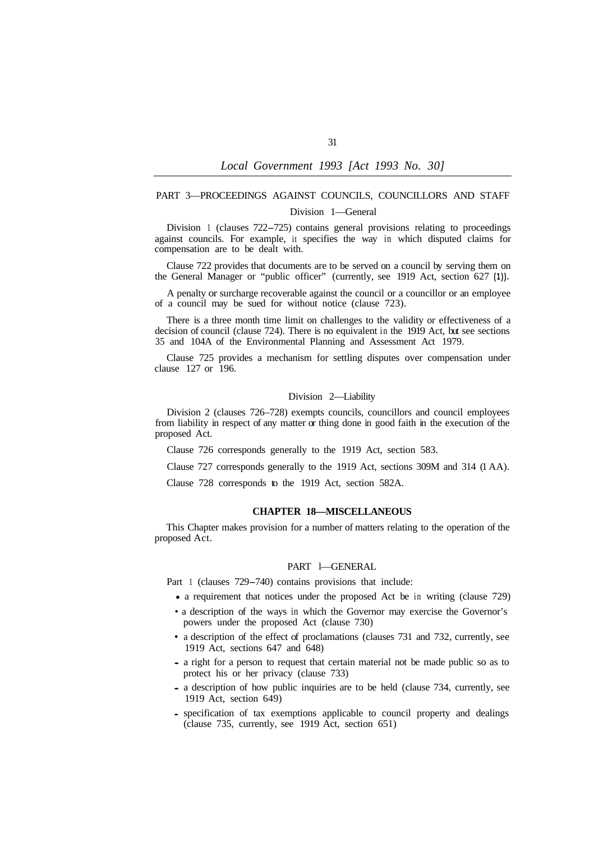# PART 3—PROCEEDINGS AGAINST COUNCILS, COUNCILLORS AND STAFF Division 1—General

Division 1 (clauses 722-725) contains general provisions relating to proceedings against councils. For example, it specifies the way in which disputed claims for compensation are to be dealt with.

Clause 722 provides that documents are to be served on a council by serving them on the General Manager or "public officer" (currently, see 1919 Act, section 627 **(1)).** 

A penalty or surcharge recoverable against the council or a councillor or an employee of a council may be sued for without notice (clause 723).

There is a three month time limit on challenges to the validity or effectiveness of a decision of council (clause 724). There is no equivalent in the 1919 Act, but see sections 35 and 104A of the Environmental Planning and Assessment Act 1979.

Clause 725 provides a mechanism for settling disputes over compensation under clause 127 or 196.

## Division 2—Liability

Division 2 (clauses 726–728) exempts councils, councillors and council employees from liability in respect of any matter  $\alpha$  thing done in good faith in the execution of the proposed Act.

Clause 726 corresponds generally to the 1919 Act, section 583.

Clause 727 corresponds generally to the 1919 Act, sections 309M and 314 (1 AA).

Clause 728 corresponds to the 1919 Act, section 582A.

## **CHAPTER 18—MISCELLANEOUS**

This Chapter makes provision for a number of matters relating to the operation of the proposed Act.

### PART l—GENERAL

Part 1 (clauses 729–740) contains provisions that include:

- a requirement that notices under the proposed Act be in writing (clause 729)
- a description of the ways in which the Governor may exercise the Governor's powers under the proposed Act (clause 730)
- a description of the effect of proclamations (clauses 731 and 732, currently, see 1919 Act, sections 647 and 648)
- a right for a person to request that certain material not be made public so as to protect his or her privacy (clause 733)
- a description of how public inquiries are to be held (clause 734, currently, see 1919 Act, section 649)
- specification of tax exemptions applicable to council property and dealings (clause 735, currently, see 1919 Act, section 651)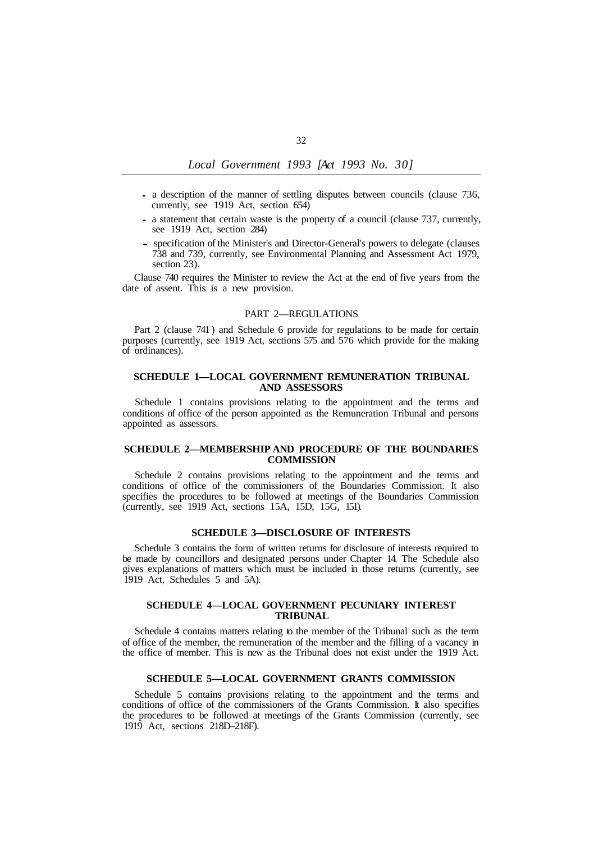- a description of the manner of settling disputes between councils (clause 736, currently, see 1919 Act, section 654)
- a statement that certain waste is the property of a council (clause 737, currently, see 1919 Act, section 284)
- specification of the Minister's and Director-General's powers to delegate (clauses 738 and 739, currently, see Environmental Planning and Assessment Act 1979, section 23).

Clause 740 requires the Minister to review the Act at the end of five years from the date of assent. This is a new provision.

## PART 2—REGULATIONS

Part 2 (clause 741) and Schedule 6 provide for regulations to be made for certain purposes (currently, see 1919 Act, sections 575 and 576 which provide for the making of ordinances).

## **SCHEDULE 1—LOCAL GOVERNMENT REMUNERATION TRIBUNAL AND ASSESSORS**

Schedule 1 contains provisions relating to the appointment and the terms and conditions of office of the person appointed as the Remuneration Tribunal and persons appointed as assessors.

## **SCHEDULE 2—MEMBERSHIP AND PROCEDURE OF THE BOUNDARIES COMMISSION**

Schedule 2 contains provisions relating to the appointment and the terms and conditions of office of the commissioners of the Boundaries Commission. It also specifies the procedures to be followed at meetings of the Boundaries Commission (currently, see 1919 Act, sections 15A, 15D, 15G, 151).

### **SCHEDULE 3—DISCLOSURE OF INTERESTS**

Schedule 3 contains the form of written returns for disclosure of interests required to be made by councillors and designated persons under Chapter 14. The Schedule also gives explanations of matters which must be included in those returns (currently, see 1919 Act, Schedules 5 and 5A).

## **SCHEDULE 4—LOCAL GOVERNMENT PECUNIARY INTEREST TRIBUNAL**

Schedule 4 contains matters relating to the member of the Tribunal such as the term of office of the member, the remuneration of the member and the filling of a vacancy in the office of member. This is new as the Tribunal does not exist under the 1919 Act.

#### **SCHEDULE 5—LOCAL GOVERNMENT GRANTS COMMISSION**

Schedule 5 contains provisions relating to the appointment and the terms and conditions of office of the commissioners of the Grants Commission. It also specifies the procedures to be followed at meetings of the Grants Commission (currently, see 1919 Act, sections 218D–218F).